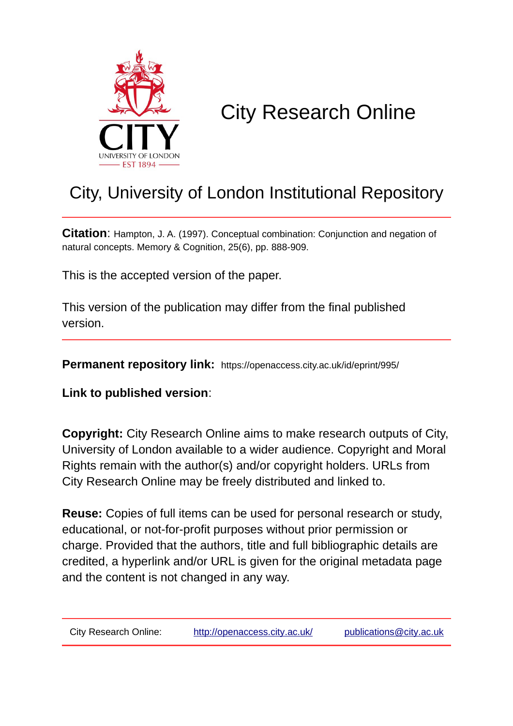

# City Research Online

# City, University of London Institutional Repository

**Citation**: Hampton, J. A. (1997). Conceptual combination: Conjunction and negation of natural concepts. Memory & Cognition, 25(6), pp. 888-909.

This is the accepted version of the paper.

This version of the publication may differ from the final published version.

**Permanent repository link:** https://openaccess.city.ac.uk/id/eprint/995/

**Link to published version**:

**Copyright:** City Research Online aims to make research outputs of City, University of London available to a wider audience. Copyright and Moral Rights remain with the author(s) and/or copyright holders. URLs from City Research Online may be freely distributed and linked to.

**Reuse:** Copies of full items can be used for personal research or study, educational, or not-for-profit purposes without prior permission or charge. Provided that the authors, title and full bibliographic details are credited, a hyperlink and/or URL is given for the original metadata page and the content is not changed in any way.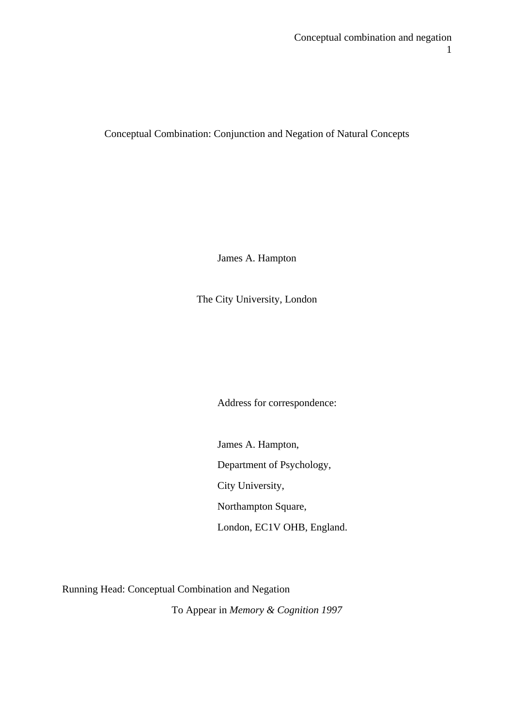Conceptual Combination: Conjunction and Negation of Natural Concepts

James A. Hampton

The City University, London

Address for correspondence:

James A. Hampton, Department of Psychology, City University, Northampton Square, London, EC1V OHB, England.

Running Head: Conceptual Combination and Negation

To Appear in *Memory & Cognition 1997*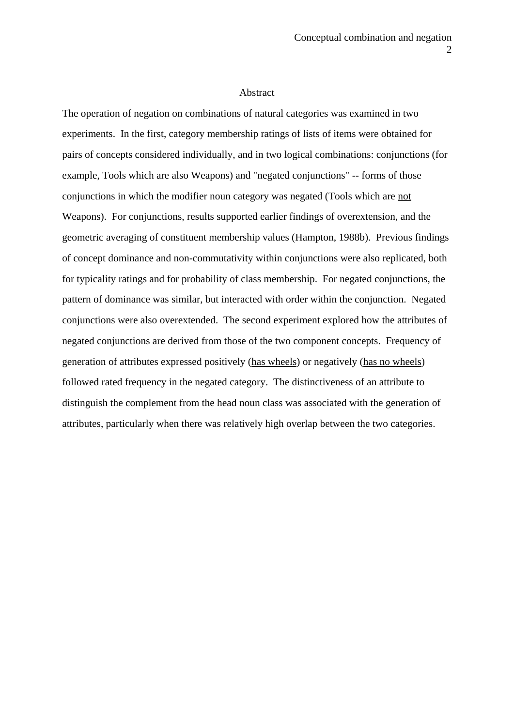#### Abstract

The operation of negation on combinations of natural categories was examined in two experiments. In the first, category membership ratings of lists of items were obtained for pairs of concepts considered individually, and in two logical combinations: conjunctions (for example, Tools which are also Weapons) and "negated conjunctions" -- forms of those conjunctions in which the modifier noun category was negated (Tools which are not Weapons). For conjunctions, results supported earlier findings of overextension, and the geometric averaging of constituent membership values (Hampton, 1988b). Previous findings of concept dominance and non-commutativity within conjunctions were also replicated, both for typicality ratings and for probability of class membership. For negated conjunctions, the pattern of dominance was similar, but interacted with order within the conjunction. Negated conjunctions were also overextended. The second experiment explored how the attributes of negated conjunctions are derived from those of the two component concepts. Frequency of generation of attributes expressed positively (has wheels) or negatively (has no wheels) followed rated frequency in the negated category. The distinctiveness of an attribute to distinguish the complement from the head noun class was associated with the generation of attributes, particularly when there was relatively high overlap between the two categories.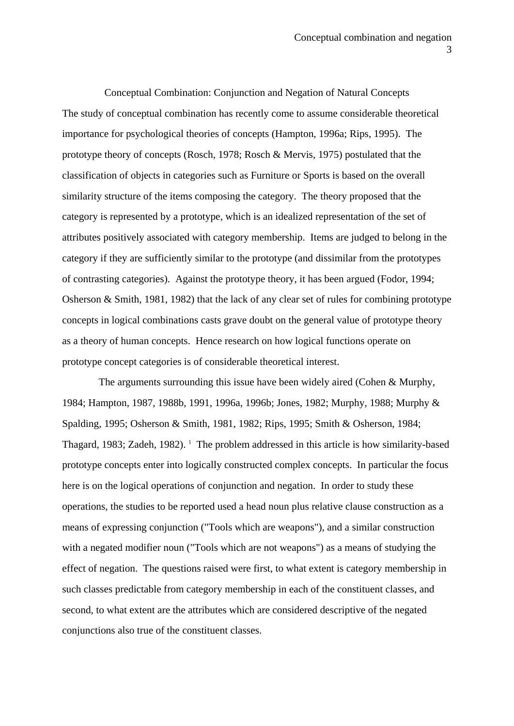Conceptual Combination: Conjunction and Negation of Natural Concepts The study of conceptual combination has recently come to assume considerable theoretical importance for psychological theories of concepts (Hampton, 1996a; Rips, 1995). The prototype theory of concepts (Rosch, 1978; Rosch & Mervis, 1975) postulated that the classification of objects in categories such as Furniture or Sports is based on the overall similarity structure of the items composing the category. The theory proposed that the category is represented by a prototype, which is an idealized representation of the set of attributes positively associated with category membership. Items are judged to belong in the category if they are sufficiently similar to the prototype (and dissimilar from the prototypes of contrasting categories). Against the prototype theory, it has been argued (Fodor, 1994; Osherson & Smith, 1981, 1982) that the lack of any clear set of rules for combining prototype concepts in logical combinations casts grave doubt on the general value of prototype theory as a theory of human concepts. Hence research on how logical functions operate on prototype concept categories is of considerable theoretical interest.

The arguments surrounding this issue have been widely aired (Cohen & Murphy, 1984; Hampton, 1987, 1988b, 1991, 1996a, 1996b; Jones, 1982; Murphy, 1988; Murphy & Spalding, 1995; Osherson & Smith, 1981, 1982; Rips, 1995; Smith & Osherson, 1984; Thagard, 1983; Zadeh, 1982). <sup>1</sup> The problem addressed in this article is how similarity-based prototype concepts enter into logically constructed complex concepts. In particular the focus here is on the logical operations of conjunction and negation. In order to study these operations, the studies to be reported used a head noun plus relative clause construction as a means of expressing conjunction ("Tools which are weapons"), and a similar construction with a negated modifier noun ("Tools which are not weapons") as a means of studying the effect of negation. The questions raised were first, to what extent is category membership in such classes predictable from category membership in each of the constituent classes, and second, to what extent are the attributes which are considered descriptive of the negated conjunctions also true of the constituent classes.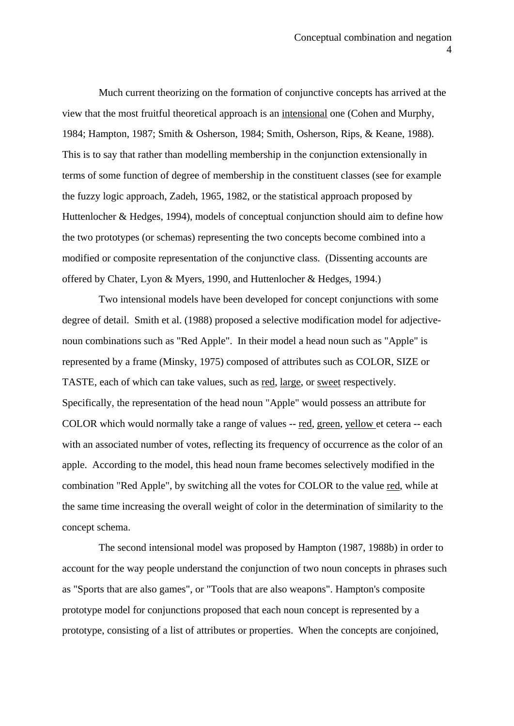Much current theorizing on the formation of conjunctive concepts has arrived at the view that the most fruitful theoretical approach is an intensional one (Cohen and Murphy, 1984; Hampton, 1987; Smith & Osherson, 1984; Smith, Osherson, Rips, & Keane, 1988). This is to say that rather than modelling membership in the conjunction extensionally in terms of some function of degree of membership in the constituent classes (see for example the fuzzy logic approach, Zadeh, 1965, 1982, or the statistical approach proposed by Huttenlocher & Hedges, 1994), models of conceptual conjunction should aim to define how the two prototypes (or schemas) representing the two concepts become combined into a modified or composite representation of the conjunctive class. (Dissenting accounts are offered by Chater, Lyon & Myers, 1990, and Huttenlocher & Hedges, 1994.)

 Two intensional models have been developed for concept conjunctions with some degree of detail. Smith et al. (1988) proposed a selective modification model for adjectivenoun combinations such as "Red Apple". In their model a head noun such as "Apple" is represented by a frame (Minsky, 1975) composed of attributes such as COLOR, SIZE or TASTE, each of which can take values, such as red, large, or sweet respectively. Specifically, the representation of the head noun "Apple" would possess an attribute for COLOR which would normally take a range of values -- red, green, yellow et cetera -- each with an associated number of votes, reflecting its frequency of occurrence as the color of an apple. According to the model, this head noun frame becomes selectively modified in the combination "Red Apple", by switching all the votes for COLOR to the value red, while at the same time increasing the overall weight of color in the determination of similarity to the concept schema.

 The second intensional model was proposed by Hampton (1987, 1988b) in order to account for the way people understand the conjunction of two noun concepts in phrases such as "Sports that are also games", or "Tools that are also weapons". Hampton's composite prototype model for conjunctions proposed that each noun concept is represented by a prototype, consisting of a list of attributes or properties. When the concepts are conjoined,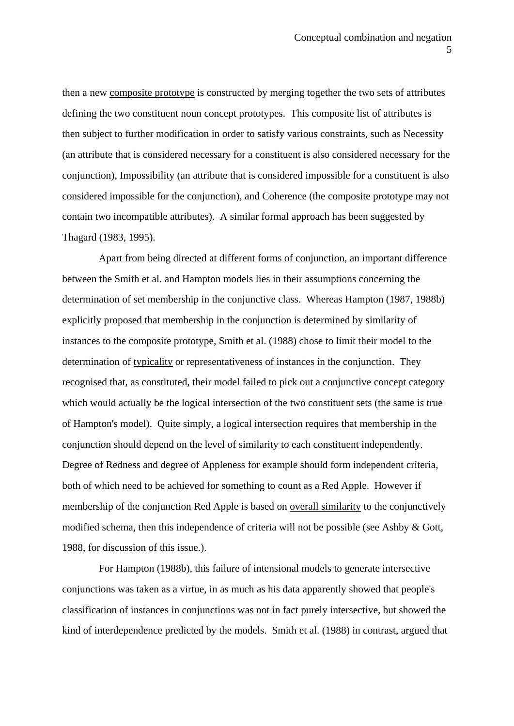then a new composite prototype is constructed by merging together the two sets of attributes defining the two constituent noun concept prototypes. This composite list of attributes is then subject to further modification in order to satisfy various constraints, such as Necessity (an attribute that is considered necessary for a constituent is also considered necessary for the conjunction), Impossibility (an attribute that is considered impossible for a constituent is also considered impossible for the conjunction), and Coherence (the composite prototype may not contain two incompatible attributes). A similar formal approach has been suggested by Thagard (1983, 1995).

 Apart from being directed at different forms of conjunction, an important difference between the Smith et al. and Hampton models lies in their assumptions concerning the determination of set membership in the conjunctive class. Whereas Hampton (1987, 1988b) explicitly proposed that membership in the conjunction is determined by similarity of instances to the composite prototype, Smith et al. (1988) chose to limit their model to the determination of typicality or representativeness of instances in the conjunction. They recognised that, as constituted, their model failed to pick out a conjunctive concept category which would actually be the logical intersection of the two constituent sets (the same is true of Hampton's model). Quite simply, a logical intersection requires that membership in the conjunction should depend on the level of similarity to each constituent independently. Degree of Redness and degree of Appleness for example should form independent criteria, both of which need to be achieved for something to count as a Red Apple. However if membership of the conjunction Red Apple is based on overall similarity to the conjunctively modified schema, then this independence of criteria will not be possible (see Ashby & Gott, 1988, for discussion of this issue.).

 For Hampton (1988b), this failure of intensional models to generate intersective conjunctions was taken as a virtue, in as much as his data apparently showed that people's classification of instances in conjunctions was not in fact purely intersective, but showed the kind of interdependence predicted by the models. Smith et al. (1988) in contrast, argued that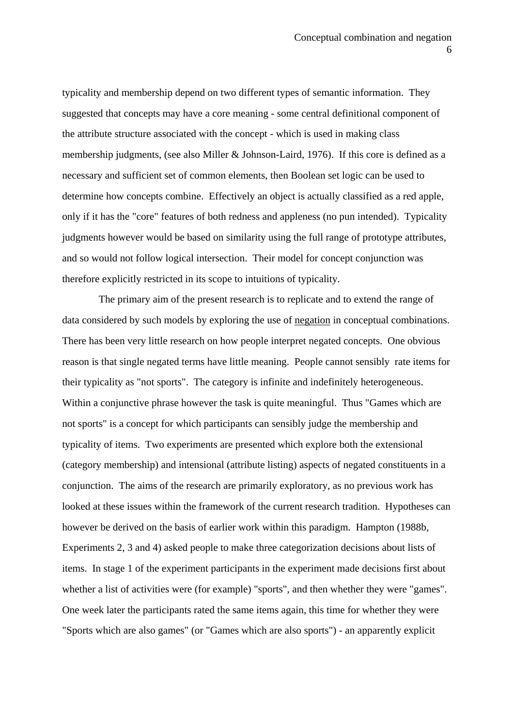typicality and membership depend on two different types of semantic information. They suggested that concepts may have a core meaning - some central definitional component of the attribute structure associated with the concept - which is used in making class membership judgments, (see also Miller & Johnson-Laird, 1976). If this core is defined as a necessary and sufficient set of common elements, then Boolean set logic can be used to determine how concepts combine. Effectively an object is actually classified as a red apple, only if it has the "core" features of both redness and appleness (no pun intended). Typicality judgments however would be based on similarity using the full range of prototype attributes, and so would not follow logical intersection. Their model for concept conjunction was therefore explicitly restricted in its scope to intuitions of typicality.

 The primary aim of the present research is to replicate and to extend the range of data considered by such models by exploring the use of negation in conceptual combinations. There has been very little research on how people interpret negated concepts. One obvious reason is that single negated terms have little meaning. People cannot sensibly rate items for their typicality as "not sports". The category is infinite and indefinitely heterogeneous. Within a conjunctive phrase however the task is quite meaningful. Thus "Games which are not sports" is a concept for which participants can sensibly judge the membership and typicality of items. Two experiments are presented which explore both the extensional (category membership) and intensional (attribute listing) aspects of negated constituents in a conjunction. The aims of the research are primarily exploratory, as no previous work has looked at these issues within the framework of the current research tradition. Hypotheses can however be derived on the basis of earlier work within this paradigm. Hampton (1988b, Experiments 2, 3 and 4) asked people to make three categorization decisions about lists of items. In stage 1 of the experiment participants in the experiment made decisions first about whether a list of activities were (for example) "sports", and then whether they were "games". One week later the participants rated the same items again, this time for whether they were "Sports which are also games" (or "Games which are also sports") - an apparently explicit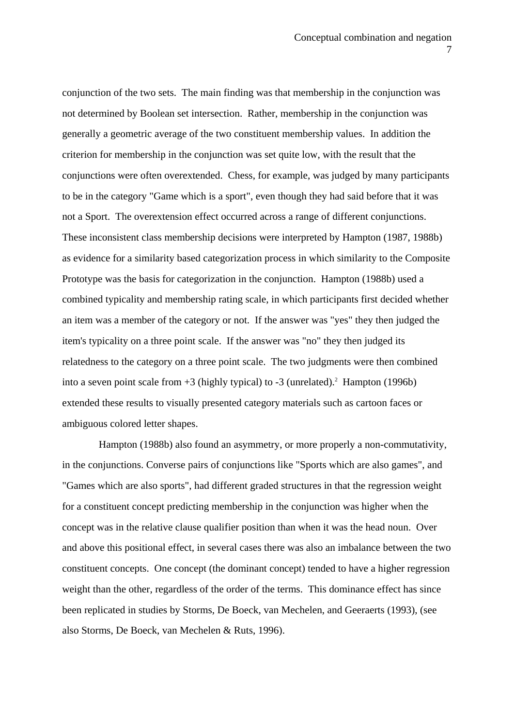conjunction of the two sets. The main finding was that membership in the conjunction was not determined by Boolean set intersection. Rather, membership in the conjunction was generally a geometric average of the two constituent membership values. In addition the criterion for membership in the conjunction was set quite low, with the result that the conjunctions were often overextended. Chess, for example, was judged by many participants to be in the category "Game which is a sport", even though they had said before that it was not a Sport. The overextension effect occurred across a range of different conjunctions. These inconsistent class membership decisions were interpreted by Hampton (1987, 1988b) as evidence for a similarity based categorization process in which similarity to the Composite Prototype was the basis for categorization in the conjunction. Hampton (1988b) used a combined typicality and membership rating scale, in which participants first decided whether an item was a member of the category or not. If the answer was "yes" they then judged the item's typicality on a three point scale. If the answer was "no" they then judged its relatedness to the category on a three point scale. The two judgments were then combined into a seven point scale from  $+3$  (highly typical) to  $-3$  (unrelated).<sup>2</sup> Hampton (1996b) extended these results to visually presented category materials such as cartoon faces or ambiguous colored letter shapes.

 Hampton (1988b) also found an asymmetry, or more properly a non-commutativity, in the conjunctions. Converse pairs of conjunctions like "Sports which are also games", and "Games which are also sports", had different graded structures in that the regression weight for a constituent concept predicting membership in the conjunction was higher when the concept was in the relative clause qualifier position than when it was the head noun. Over and above this positional effect, in several cases there was also an imbalance between the two constituent concepts. One concept (the dominant concept) tended to have a higher regression weight than the other, regardless of the order of the terms. This dominance effect has since been replicated in studies by Storms, De Boeck, van Mechelen, and Geeraerts (1993), (see also Storms, De Boeck, van Mechelen & Ruts, 1996).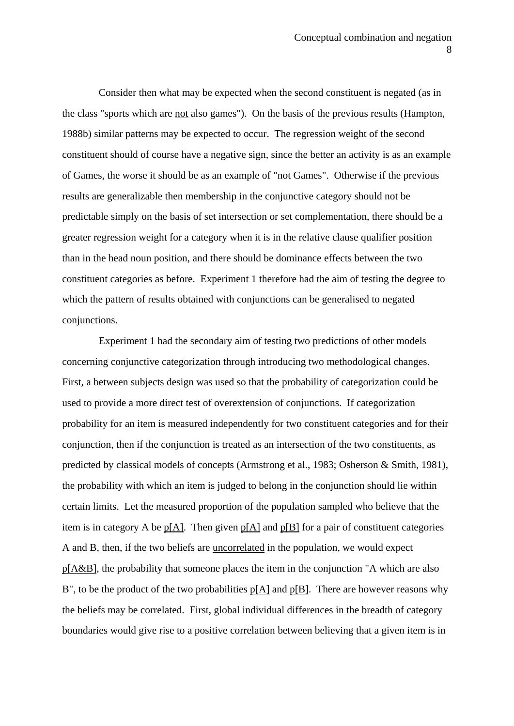Consider then what may be expected when the second constituent is negated (as in the class "sports which are not also games"). On the basis of the previous results (Hampton, 1988b) similar patterns may be expected to occur. The regression weight of the second constituent should of course have a negative sign, since the better an activity is as an example of Games, the worse it should be as an example of "not Games". Otherwise if the previous results are generalizable then membership in the conjunctive category should not be predictable simply on the basis of set intersection or set complementation, there should be a greater regression weight for a category when it is in the relative clause qualifier position than in the head noun position, and there should be dominance effects between the two constituent categories as before. Experiment 1 therefore had the aim of testing the degree to which the pattern of results obtained with conjunctions can be generalised to negated conjunctions.

 Experiment 1 had the secondary aim of testing two predictions of other models concerning conjunctive categorization through introducing two methodological changes. First, a between subjects design was used so that the probability of categorization could be used to provide a more direct test of overextension of conjunctions. If categorization probability for an item is measured independently for two constituent categories and for their conjunction, then if the conjunction is treated as an intersection of the two constituents, as predicted by classical models of concepts (Armstrong et al., 1983; Osherson & Smith, 1981), the probability with which an item is judged to belong in the conjunction should lie within certain limits. Let the measured proportion of the population sampled who believe that the item is in category A be  $p[A]$ . Then given  $p[A]$  and  $p[B]$  for a pair of constituent categories A and B, then, if the two beliefs are uncorrelated in the population, we would expect p[A&B], the probability that someone places the item in the conjunction "A which are also B", to be the product of the two probabilities p[A] and p[B]. There are however reasons why the beliefs may be correlated. First, global individual differences in the breadth of category boundaries would give rise to a positive correlation between believing that a given item is in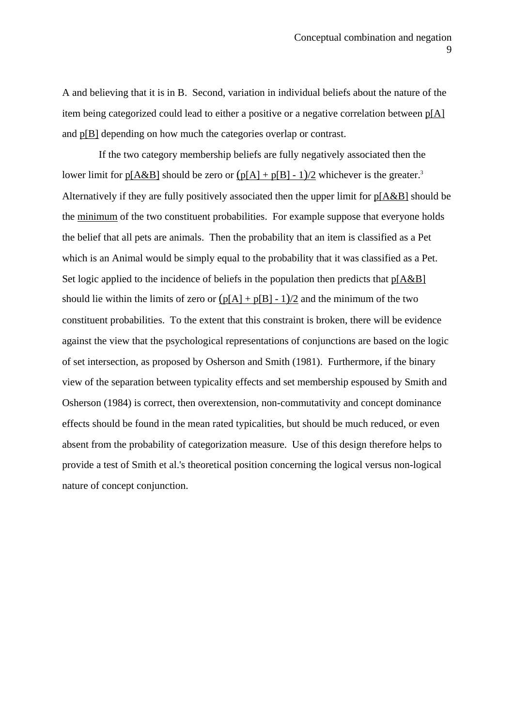A and believing that it is in B. Second, variation in individual beliefs about the nature of the item being categorized could lead to either a positive or a negative correlation between p[A] and p[B] depending on how much the categories overlap or contrast.

 If the two category membership beliefs are fully negatively associated then the lower limit for  $p[A&B]$  should be zero or  $(p[A] + p[B] - 1)/2$  whichever is the greater.<sup>3</sup> Alternatively if they are fully positively associated then the upper limit for p[A&B] should be the minimum of the two constituent probabilities. For example suppose that everyone holds the belief that all pets are animals. Then the probability that an item is classified as a Pet which is an Animal would be simply equal to the probability that it was classified as a Pet. Set logic applied to the incidence of beliefs in the population then predicts that  $p[A&B]$ should lie within the limits of zero or  $(p[A] + p[B] - 1)/2$  and the minimum of the two constituent probabilities. To the extent that this constraint is broken, there will be evidence against the view that the psychological representations of conjunctions are based on the logic of set intersection, as proposed by Osherson and Smith (1981). Furthermore, if the binary view of the separation between typicality effects and set membership espoused by Smith and Osherson (1984) is correct, then overextension, non-commutativity and concept dominance effects should be found in the mean rated typicalities, but should be much reduced, or even absent from the probability of categorization measure. Use of this design therefore helps to provide a test of Smith et al.'s theoretical position concerning the logical versus non-logical nature of concept conjunction.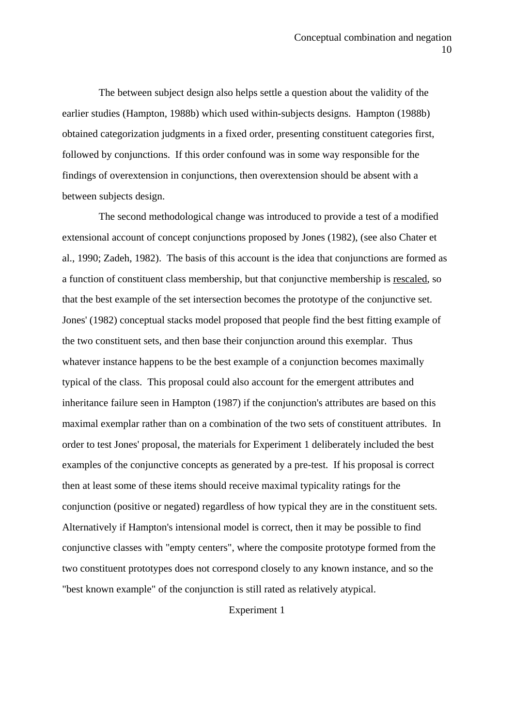The between subject design also helps settle a question about the validity of the earlier studies (Hampton, 1988b) which used within-subjects designs. Hampton (1988b) obtained categorization judgments in a fixed order, presenting constituent categories first, followed by conjunctions. If this order confound was in some way responsible for the findings of overextension in conjunctions, then overextension should be absent with a between subjects design.

 The second methodological change was introduced to provide a test of a modified extensional account of concept conjunctions proposed by Jones (1982), (see also Chater et al., 1990; Zadeh, 1982). The basis of this account is the idea that conjunctions are formed as a function of constituent class membership, but that conjunctive membership is rescaled, so that the best example of the set intersection becomes the prototype of the conjunctive set. Jones' (1982) conceptual stacks model proposed that people find the best fitting example of the two constituent sets, and then base their conjunction around this exemplar. Thus whatever instance happens to be the best example of a conjunction becomes maximally typical of the class. This proposal could also account for the emergent attributes and inheritance failure seen in Hampton (1987) if the conjunction's attributes are based on this maximal exemplar rather than on a combination of the two sets of constituent attributes. In order to test Jones' proposal, the materials for Experiment 1 deliberately included the best examples of the conjunctive concepts as generated by a pre-test. If his proposal is correct then at least some of these items should receive maximal typicality ratings for the conjunction (positive or negated) regardless of how typical they are in the constituent sets. Alternatively if Hampton's intensional model is correct, then it may be possible to find conjunctive classes with "empty centers", where the composite prototype formed from the two constituent prototypes does not correspond closely to any known instance, and so the "best known example" of the conjunction is still rated as relatively atypical.

Experiment 1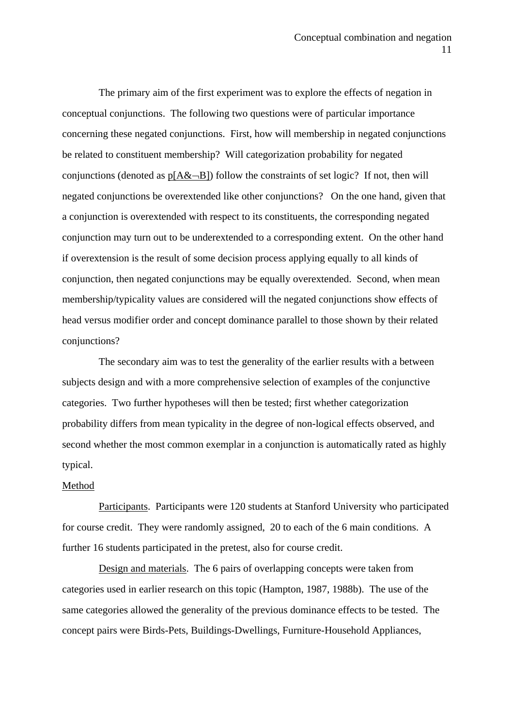The primary aim of the first experiment was to explore the effects of negation in conceptual conjunctions. The following two questions were of particular importance concerning these negated conjunctions. First, how will membership in negated conjunctions be related to constituent membership? Will categorization probability for negated conjunctions (denoted as  $p[A&~B]$ ) follow the constraints of set logic? If not, then will negated conjunctions be overextended like other conjunctions? On the one hand, given that a conjunction is overextended with respect to its constituents, the corresponding negated conjunction may turn out to be underextended to a corresponding extent. On the other hand if overextension is the result of some decision process applying equally to all kinds of conjunction, then negated conjunctions may be equally overextended. Second, when mean membership/typicality values are considered will the negated conjunctions show effects of head versus modifier order and concept dominance parallel to those shown by their related conjunctions?

 The secondary aim was to test the generality of the earlier results with a between subjects design and with a more comprehensive selection of examples of the conjunctive categories. Two further hypotheses will then be tested; first whether categorization probability differs from mean typicality in the degree of non-logical effects observed, and second whether the most common exemplar in a conjunction is automatically rated as highly typical.

#### Method

 Participants. Participants were 120 students at Stanford University who participated for course credit. They were randomly assigned, 20 to each of the 6 main conditions. A further 16 students participated in the pretest, also for course credit.

 Design and materials. The 6 pairs of overlapping concepts were taken from categories used in earlier research on this topic (Hampton, 1987, 1988b). The use of the same categories allowed the generality of the previous dominance effects to be tested. The concept pairs were Birds-Pets, Buildings-Dwellings, Furniture-Household Appliances,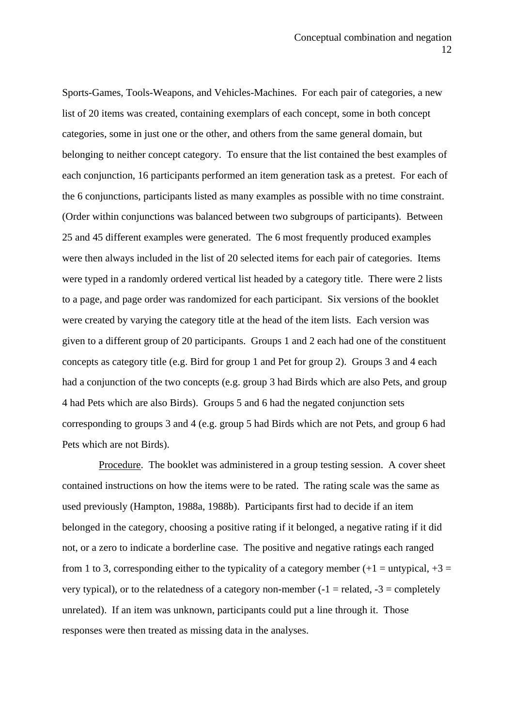Sports-Games, Tools-Weapons, and Vehicles-Machines. For each pair of categories, a new list of 20 items was created, containing exemplars of each concept, some in both concept categories, some in just one or the other, and others from the same general domain, but belonging to neither concept category. To ensure that the list contained the best examples of each conjunction, 16 participants performed an item generation task as a pretest. For each of the 6 conjunctions, participants listed as many examples as possible with no time constraint. (Order within conjunctions was balanced between two subgroups of participants). Between 25 and 45 different examples were generated. The 6 most frequently produced examples were then always included in the list of 20 selected items for each pair of categories. Items were typed in a randomly ordered vertical list headed by a category title. There were 2 lists to a page, and page order was randomized for each participant. Six versions of the booklet were created by varying the category title at the head of the item lists. Each version was given to a different group of 20 participants. Groups 1 and 2 each had one of the constituent concepts as category title (e.g. Bird for group 1 and Pet for group 2). Groups 3 and 4 each had a conjunction of the two concepts (e.g. group 3 had Birds which are also Pets, and group 4 had Pets which are also Birds). Groups 5 and 6 had the negated conjunction sets corresponding to groups 3 and 4 (e.g. group 5 had Birds which are not Pets, and group 6 had Pets which are not Birds).

 Procedure. The booklet was administered in a group testing session. A cover sheet contained instructions on how the items were to be rated. The rating scale was the same as used previously (Hampton, 1988a, 1988b). Participants first had to decide if an item belonged in the category, choosing a positive rating if it belonged, a negative rating if it did not, or a zero to indicate a borderline case. The positive and negative ratings each ranged from 1 to 3, corresponding either to the typicality of a category member  $(+1 =$  untypical,  $+3 =$ very typical), or to the relatedness of a category non-member  $(-1 =$  related,  $-3 =$  completely unrelated). If an item was unknown, participants could put a line through it. Those responses were then treated as missing data in the analyses.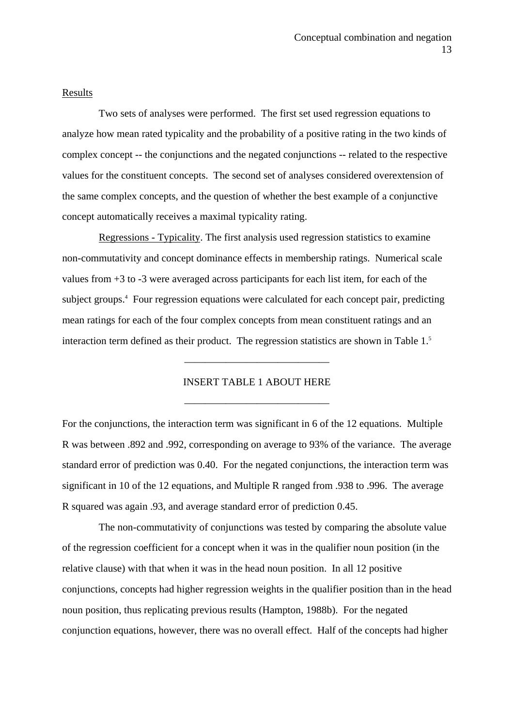#### Results

 Two sets of analyses were performed. The first set used regression equations to analyze how mean rated typicality and the probability of a positive rating in the two kinds of complex concept -- the conjunctions and the negated conjunctions -- related to the respective values for the constituent concepts. The second set of analyses considered overextension of the same complex concepts, and the question of whether the best example of a conjunctive concept automatically receives a maximal typicality rating.

 Regressions - Typicality. The first analysis used regression statistics to examine non-commutativity and concept dominance effects in membership ratings. Numerical scale values from +3 to -3 were averaged across participants for each list item, for each of the subject groups.<sup>4</sup> Four regression equations were calculated for each concept pair, predicting mean ratings for each of the four complex concepts from mean constituent ratings and an interaction term defined as their product. The regression statistics are shown in Table 1.<sup>5</sup>

## INSERT TABLE 1 ABOUT HERE

——————————————

——————————————

For the conjunctions, the interaction term was significant in 6 of the 12 equations. Multiple R was between .892 and .992, corresponding on average to 93% of the variance. The average standard error of prediction was 0.40. For the negated conjunctions, the interaction term was significant in 10 of the 12 equations, and Multiple R ranged from .938 to .996. The average R squared was again .93, and average standard error of prediction 0.45.

 The non-commutativity of conjunctions was tested by comparing the absolute value of the regression coefficient for a concept when it was in the qualifier noun position (in the relative clause) with that when it was in the head noun position. In all 12 positive conjunctions, concepts had higher regression weights in the qualifier position than in the head noun position, thus replicating previous results (Hampton, 1988b). For the negated conjunction equations, however, there was no overall effect. Half of the concepts had higher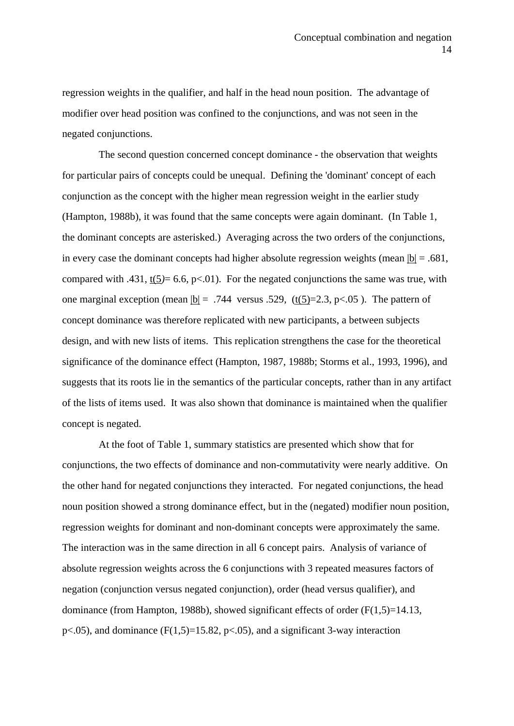regression weights in the qualifier, and half in the head noun position. The advantage of modifier over head position was confined to the conjunctions, and was not seen in the negated conjunctions.

 The second question concerned concept dominance - the observation that weights for particular pairs of concepts could be unequal. Defining the 'dominant' concept of each conjunction as the concept with the higher mean regression weight in the earlier study (Hampton, 1988b), it was found that the same concepts were again dominant. (In Table 1, the dominant concepts are asterisked.) Averaging across the two orders of the conjunctions, in every case the dominant concepts had higher absolute regression weights (mean  $|b| = .681$ , compared with .431,  $t(5) = 6.6$ ,  $p<0.01$ ). For the negated conjunctions the same was true, with one marginal exception (mean  $|b| = .744$  versus .529, (t(5)=2.3, p<.05). The pattern of concept dominance was therefore replicated with new participants, a between subjects design, and with new lists of items. This replication strengthens the case for the theoretical significance of the dominance effect (Hampton, 1987, 1988b; Storms et al., 1993, 1996), and suggests that its roots lie in the semantics of the particular concepts, rather than in any artifact of the lists of items used. It was also shown that dominance is maintained when the qualifier concept is negated.

 At the foot of Table 1, summary statistics are presented which show that for conjunctions, the two effects of dominance and non-commutativity were nearly additive. On the other hand for negated conjunctions they interacted. For negated conjunctions, the head noun position showed a strong dominance effect, but in the (negated) modifier noun position, regression weights for dominant and non-dominant concepts were approximately the same. The interaction was in the same direction in all 6 concept pairs. Analysis of variance of absolute regression weights across the 6 conjunctions with 3 repeated measures factors of negation (conjunction versus negated conjunction), order (head versus qualifier), and dominance (from Hampton, 1988b), showed significant effects of order (F(1,5)=14.13, p $\lt$ .05), and dominance (F(1,5)=15.82, p $\lt$ .05), and a significant 3-way interaction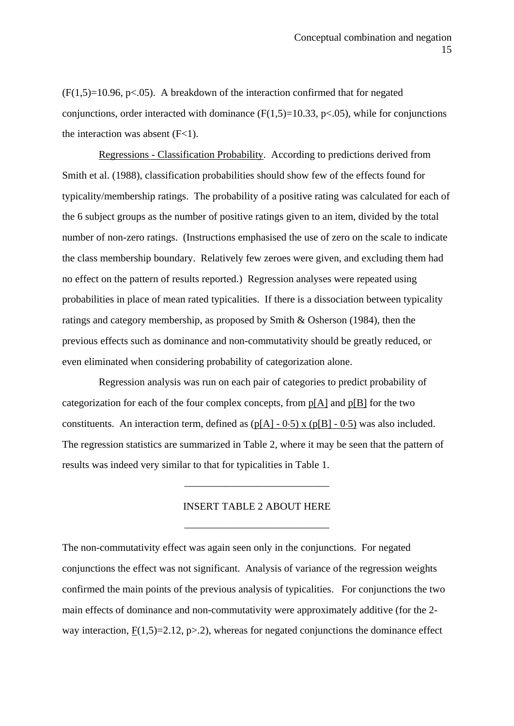$(F(1.5)=10.96, p<0.05)$ . A breakdown of the interaction confirmed that for negated conjunctions, order interacted with dominance  $(F(1,5)=10.33, p<0.05)$ , while for conjunctions the interaction was absent  $(F<1)$ .

 Regressions - Classification Probability. According to predictions derived from Smith et al. (1988), classification probabilities should show few of the effects found for typicality/membership ratings. The probability of a positive rating was calculated for each of the 6 subject groups as the number of positive ratings given to an item, divided by the total number of non-zero ratings. (Instructions emphasised the use of zero on the scale to indicate the class membership boundary. Relatively few zeroes were given, and excluding them had no effect on the pattern of results reported.) Regression analyses were repeated using probabilities in place of mean rated typicalities. If there is a dissociation between typicality ratings and category membership, as proposed by Smith & Osherson (1984), then the previous effects such as dominance and non-commutativity should be greatly reduced, or even eliminated when considering probability of categorization alone.

 Regression analysis was run on each pair of categories to predict probability of categorization for each of the four complex concepts, from p[A] and p[B] for the two constituents. An interaction term, defined as  $(p[A] - 0.5)$  x  $(p[B] - 0.5)$  was also included. The regression statistics are summarized in Table 2, where it may be seen that the pattern of results was indeed very similar to that for typicalities in Table 1.

# INSERT TABLE 2 ABOUT HERE

——————————————

——————————————

The non-commutativity effect was again seen only in the conjunctions. For negated conjunctions the effect was not significant. Analysis of variance of the regression weights confirmed the main points of the previous analysis of typicalities. For conjunctions the two main effects of dominance and non-commutativity were approximately additive (for the 2 way interaction,  $F(1,5)=2.12$ ,  $p>2$ ), whereas for negated conjunctions the dominance effect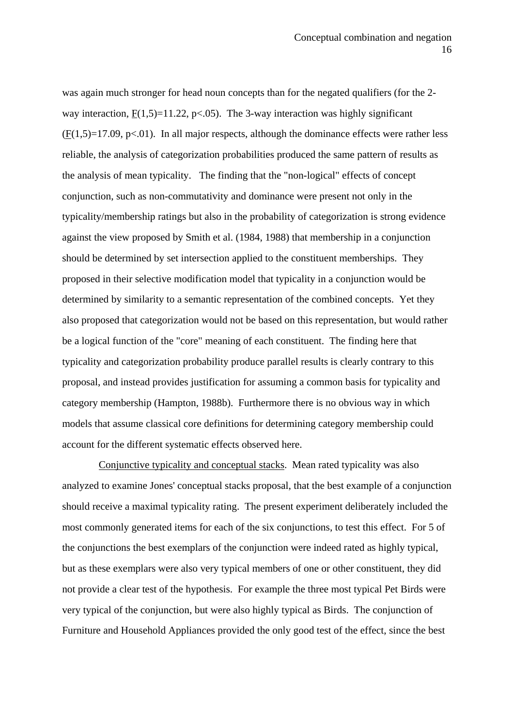was again much stronger for head noun concepts than for the negated qualifiers (for the 2 way interaction,  $F(1.5)=11.22$ ,  $p<0.05$ ). The 3-way interaction was highly significant  $(F(1,5)=17.09, p<0.01)$ . In all major respects, although the dominance effects were rather less reliable, the analysis of categorization probabilities produced the same pattern of results as the analysis of mean typicality. The finding that the "non-logical" effects of concept conjunction, such as non-commutativity and dominance were present not only in the typicality/membership ratings but also in the probability of categorization is strong evidence against the view proposed by Smith et al. (1984, 1988) that membership in a conjunction should be determined by set intersection applied to the constituent memberships. They proposed in their selective modification model that typicality in a conjunction would be determined by similarity to a semantic representation of the combined concepts. Yet they also proposed that categorization would not be based on this representation, but would rather be a logical function of the "core" meaning of each constituent. The finding here that typicality and categorization probability produce parallel results is clearly contrary to this proposal, and instead provides justification for assuming a common basis for typicality and category membership (Hampton, 1988b). Furthermore there is no obvious way in which models that assume classical core definitions for determining category membership could account for the different systematic effects observed here.

 Conjunctive typicality and conceptual stacks. Mean rated typicality was also analyzed to examine Jones' conceptual stacks proposal, that the best example of a conjunction should receive a maximal typicality rating. The present experiment deliberately included the most commonly generated items for each of the six conjunctions, to test this effect. For 5 of the conjunctions the best exemplars of the conjunction were indeed rated as highly typical, but as these exemplars were also very typical members of one or other constituent, they did not provide a clear test of the hypothesis. For example the three most typical Pet Birds were very typical of the conjunction, but were also highly typical as Birds. The conjunction of Furniture and Household Appliances provided the only good test of the effect, since the best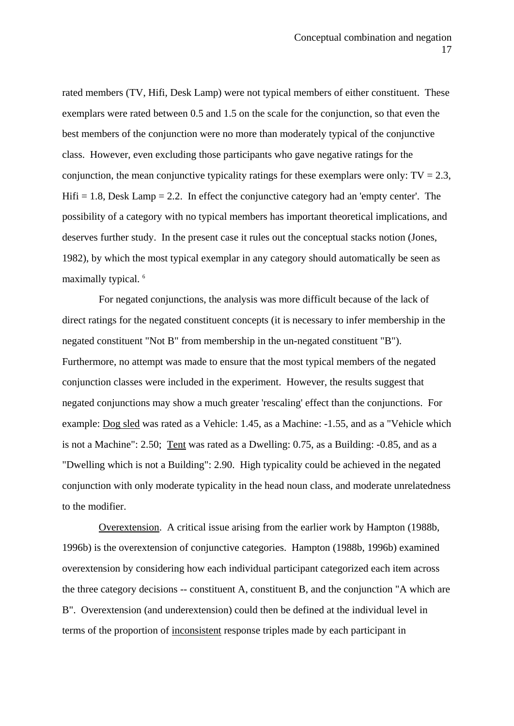rated members (TV, Hifi, Desk Lamp) were not typical members of either constituent. These exemplars were rated between 0.5 and 1.5 on the scale for the conjunction, so that even the best members of the conjunction were no more than moderately typical of the conjunctive class. However, even excluding those participants who gave negative ratings for the conjunction, the mean conjunctive typicality ratings for these exemplars were only:  $TV = 2.3$ , Hifi  $= 1.8$ , Desk Lamp  $= 2.2$ . In effect the conjunctive category had an 'empty center'. The possibility of a category with no typical members has important theoretical implications, and deserves further study. In the present case it rules out the conceptual stacks notion (Jones, 1982), by which the most typical exemplar in any category should automatically be seen as maximally typical.<sup>6</sup>

 For negated conjunctions, the analysis was more difficult because of the lack of direct ratings for the negated constituent concepts (it is necessary to infer membership in the negated constituent "Not B" from membership in the un-negated constituent "B"). Furthermore, no attempt was made to ensure that the most typical members of the negated conjunction classes were included in the experiment. However, the results suggest that negated conjunctions may show a much greater 'rescaling' effect than the conjunctions. For example: Dog sled was rated as a Vehicle: 1.45, as a Machine: -1.55, and as a "Vehicle which is not a Machine": 2.50; Tent was rated as a Dwelling: 0.75, as a Building: -0.85, and as a "Dwelling which is not a Building": 2.90. High typicality could be achieved in the negated conjunction with only moderate typicality in the head noun class, and moderate unrelatedness to the modifier.

 Overextension. A critical issue arising from the earlier work by Hampton (1988b, 1996b) is the overextension of conjunctive categories. Hampton (1988b, 1996b) examined overextension by considering how each individual participant categorized each item across the three category decisions -- constituent A, constituent B, and the conjunction "A which are B". Overextension (and underextension) could then be defined at the individual level in terms of the proportion of inconsistent response triples made by each participant in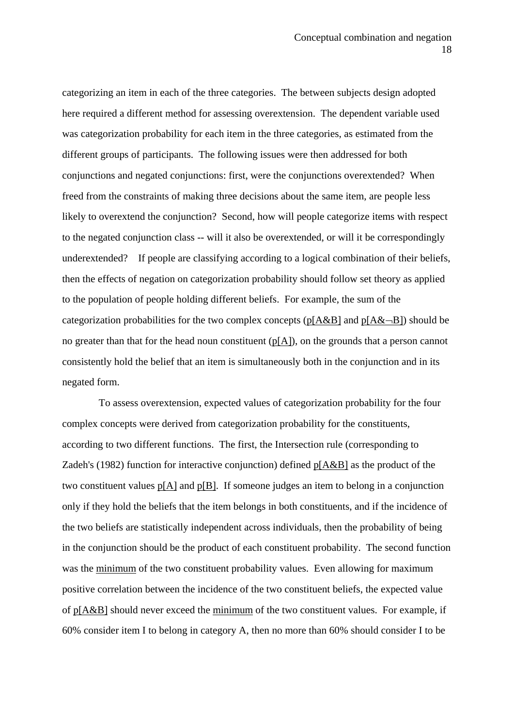categorizing an item in each of the three categories. The between subjects design adopted here required a different method for assessing overextension. The dependent variable used was categorization probability for each item in the three categories, as estimated from the different groups of participants. The following issues were then addressed for both conjunctions and negated conjunctions: first, were the conjunctions overextended? When freed from the constraints of making three decisions about the same item, are people less likely to overextend the conjunction? Second, how will people categorize items with respect to the negated conjunction class -- will it also be overextended, or will it be correspondingly underextended? If people are classifying according to a logical combination of their beliefs, then the effects of negation on categorization probability should follow set theory as applied to the population of people holding different beliefs. For example, the sum of the categorization probabilities for the two complex concepts ( $p[A&B]$  and  $p[A&-B]$ ) should be no greater than that for the head noun constituent  $(p[A])$ , on the grounds that a person cannot consistently hold the belief that an item is simultaneously both in the conjunction and in its negated form.

 To assess overextension, expected values of categorization probability for the four complex concepts were derived from categorization probability for the constituents, according to two different functions. The first, the Intersection rule (corresponding to Zadeh's (1982) function for interactive conjunction) defined p[A&B] as the product of the two constituent values p[A] and p[B]. If someone judges an item to belong in a conjunction only if they hold the beliefs that the item belongs in both constituents, and if the incidence of the two beliefs are statistically independent across individuals, then the probability of being in the conjunction should be the product of each constituent probability. The second function was the minimum of the two constituent probability values. Even allowing for maximum positive correlation between the incidence of the two constituent beliefs, the expected value of  $p[A&B]$  should never exceed the minimum of the two constituent values. For example, if 60% consider item I to belong in category A, then no more than 60% should consider I to be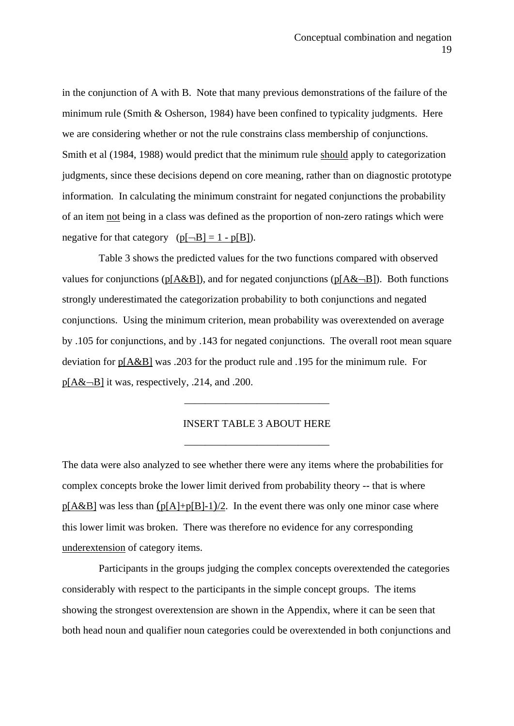in the conjunction of A with B. Note that many previous demonstrations of the failure of the minimum rule (Smith & Osherson, 1984) have been confined to typicality judgments. Here we are considering whether or not the rule constrains class membership of conjunctions. Smith et al (1984, 1988) would predict that the minimum rule should apply to categorization judgments, since these decisions depend on core meaning, rather than on diagnostic prototype information. In calculating the minimum constraint for negated conjunctions the probability of an item not being in a class was defined as the proportion of non-zero ratings which were negative for that category  $(p[-B] = 1 - p[B])$ .

 Table 3 shows the predicted values for the two functions compared with observed values for conjunctions (p[A&B]), and for negated conjunctions (p[A& $\neg$ B]). Both functions strongly underestimated the categorization probability to both conjunctions and negated conjunctions. Using the minimum criterion, mean probability was overextended on average by .105 for conjunctions, and by .143 for negated conjunctions. The overall root mean square deviation for p[A&B] was .203 for the product rule and .195 for the minimum rule. For  $p[A&~B]$  it was, respectively, .214, and .200.

#### INSERT TABLE 3 ABOUT HERE

——————————————

——————————————

The data were also analyzed to see whether there were any items where the probabilities for complex concepts broke the lower limit derived from probability theory -- that is where  $p[A&B]$  was less than  $(p[A]+p[B]-1)/2$ . In the event there was only one minor case where this lower limit was broken. There was therefore no evidence for any corresponding underextension of category items.

 Participants in the groups judging the complex concepts overextended the categories considerably with respect to the participants in the simple concept groups. The items showing the strongest overextension are shown in the Appendix, where it can be seen that both head noun and qualifier noun categories could be overextended in both conjunctions and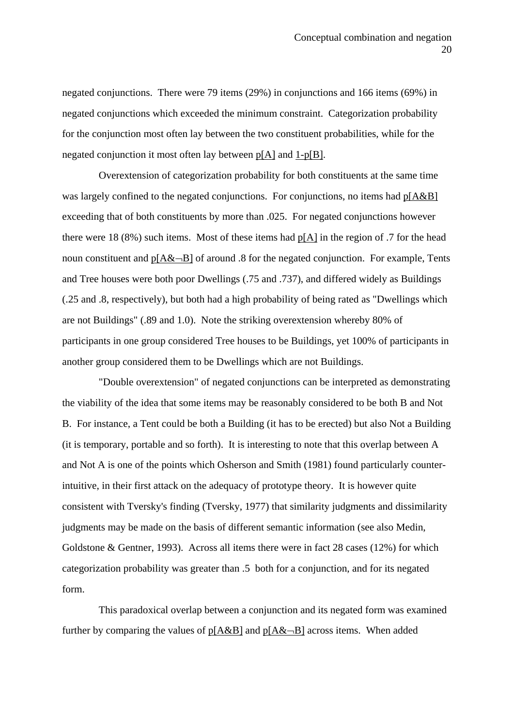negated conjunctions. There were 79 items (29%) in conjunctions and 166 items (69%) in negated conjunctions which exceeded the minimum constraint. Categorization probability for the conjunction most often lay between the two constituent probabilities, while for the negated conjunction it most often lay between p[A] and 1-p[B].

 Overextension of categorization probability for both constituents at the same time was largely confined to the negated conjunctions. For conjunctions, no items had  $p[A&B]$ exceeding that of both constituents by more than .025. For negated conjunctions however there were 18 (8%) such items. Most of these items had  $p[A]$  in the region of .7 for the head noun constituent and  $p[A&~B]$  of around .8 for the negated conjunction. For example, Tents and Tree houses were both poor Dwellings (.75 and .737), and differed widely as Buildings (.25 and .8, respectively), but both had a high probability of being rated as "Dwellings which are not Buildings" (.89 and 1.0). Note the striking overextension whereby 80% of participants in one group considered Tree houses to be Buildings, yet 100% of participants in another group considered them to be Dwellings which are not Buildings.

 "Double overextension" of negated conjunctions can be interpreted as demonstrating the viability of the idea that some items may be reasonably considered to be both B and Not B. For instance, a Tent could be both a Building (it has to be erected) but also Not a Building (it is temporary, portable and so forth). It is interesting to note that this overlap between A and Not A is one of the points which Osherson and Smith (1981) found particularly counterintuitive, in their first attack on the adequacy of prototype theory. It is however quite consistent with Tversky's finding (Tversky, 1977) that similarity judgments and dissimilarity judgments may be made on the basis of different semantic information (see also Medin, Goldstone & Gentner, 1993). Across all items there were in fact 28 cases (12%) for which categorization probability was greater than .5 both for a conjunction, and for its negated form.

 This paradoxical overlap between a conjunction and its negated form was examined further by comparing the values of  $p[A&B]$  and  $p[A&-B]$  across items. When added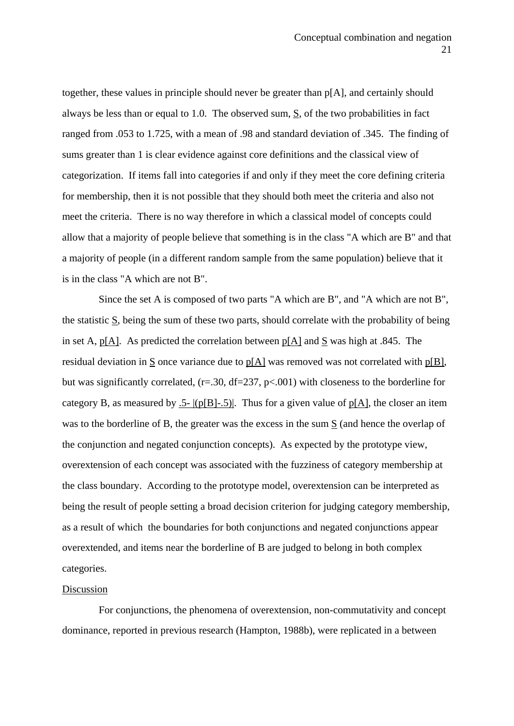together, these values in principle should never be greater than p[A], and certainly should always be less than or equal to 1.0. The observed sum,  $S$ , of the two probabilities in fact ranged from .053 to 1.725, with a mean of .98 and standard deviation of .345. The finding of sums greater than 1 is clear evidence against core definitions and the classical view of categorization. If items fall into categories if and only if they meet the core defining criteria for membership, then it is not possible that they should both meet the criteria and also not meet the criteria. There is no way therefore in which a classical model of concepts could allow that a majority of people believe that something is in the class "A which are B" and that a majority of people (in a different random sample from the same population) believe that it is in the class "A which are not B".

 Since the set A is composed of two parts "A which are B", and "A which are not B", the statistic  $S$ , being the sum of these two parts, should correlate with the probability of being in set A,  $p[A]$ . As predicted the correlation between  $p[A]$  and  $S$  was high at .845. The residual deviation in  $\underline{S}$  once variance due to  $\underline{p[A]}$  was removed was not correlated with  $\underline{p[B]}$ , but was significantly correlated, (r=.30, df=237, p<.001) with closeness to the borderline for category B, as measured by .5- $|p[B]-.5|$ . Thus for a given value of  $p[A]$ , the closer an item was to the borderline of B, the greater was the excess in the sum S (and hence the overlap of the conjunction and negated conjunction concepts). As expected by the prototype view, overextension of each concept was associated with the fuzziness of category membership at the class boundary. According to the prototype model, overextension can be interpreted as being the result of people setting a broad decision criterion for judging category membership, as a result of which the boundaries for both conjunctions and negated conjunctions appear overextended, and items near the borderline of B are judged to belong in both complex categories.

# Discussion

 For conjunctions, the phenomena of overextension, non-commutativity and concept dominance, reported in previous research (Hampton, 1988b), were replicated in a between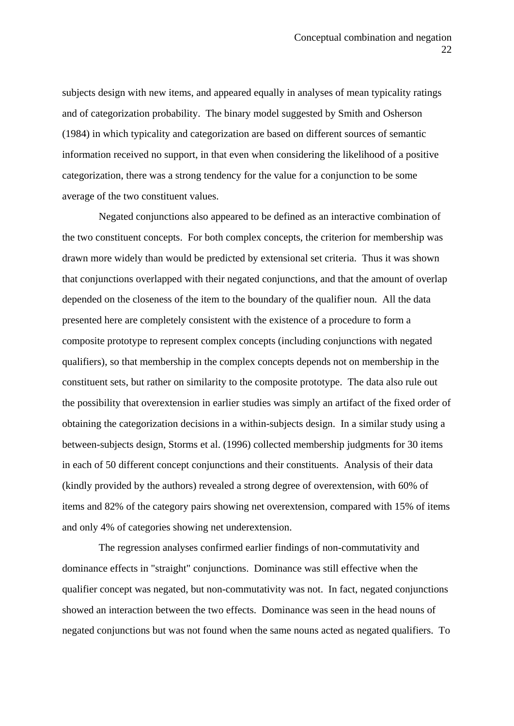subjects design with new items, and appeared equally in analyses of mean typicality ratings and of categorization probability. The binary model suggested by Smith and Osherson (1984) in which typicality and categorization are based on different sources of semantic information received no support, in that even when considering the likelihood of a positive categorization, there was a strong tendency for the value for a conjunction to be some average of the two constituent values.

 Negated conjunctions also appeared to be defined as an interactive combination of the two constituent concepts. For both complex concepts, the criterion for membership was drawn more widely than would be predicted by extensional set criteria. Thus it was shown that conjunctions overlapped with their negated conjunctions, and that the amount of overlap depended on the closeness of the item to the boundary of the qualifier noun. All the data presented here are completely consistent with the existence of a procedure to form a composite prototype to represent complex concepts (including conjunctions with negated qualifiers), so that membership in the complex concepts depends not on membership in the constituent sets, but rather on similarity to the composite prototype. The data also rule out the possibility that overextension in earlier studies was simply an artifact of the fixed order of obtaining the categorization decisions in a within-subjects design. In a similar study using a between-subjects design, Storms et al. (1996) collected membership judgments for 30 items in each of 50 different concept conjunctions and their constituents. Analysis of their data (kindly provided by the authors) revealed a strong degree of overextension, with 60% of items and 82% of the category pairs showing net overextension, compared with 15% of items and only 4% of categories showing net underextension.

 The regression analyses confirmed earlier findings of non-commutativity and dominance effects in "straight" conjunctions. Dominance was still effective when the qualifier concept was negated, but non-commutativity was not. In fact, negated conjunctions showed an interaction between the two effects. Dominance was seen in the head nouns of negated conjunctions but was not found when the same nouns acted as negated qualifiers. To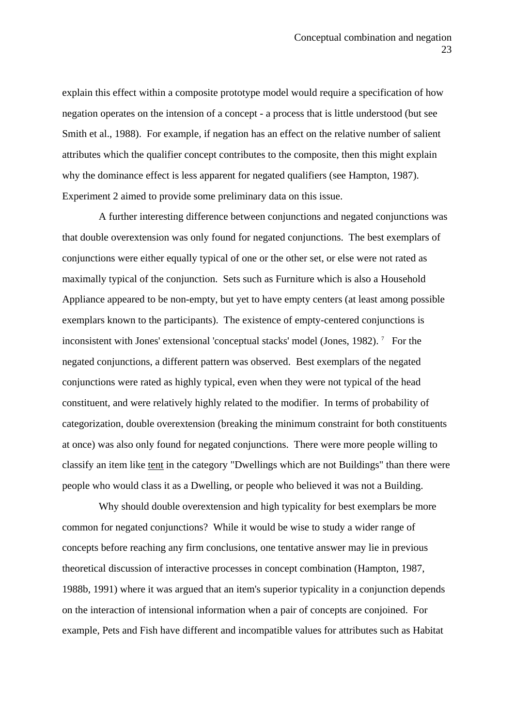explain this effect within a composite prototype model would require a specification of how negation operates on the intension of a concept - a process that is little understood (but see Smith et al., 1988). For example, if negation has an effect on the relative number of salient attributes which the qualifier concept contributes to the composite, then this might explain why the dominance effect is less apparent for negated qualifiers (see Hampton, 1987). Experiment 2 aimed to provide some preliminary data on this issue.

 A further interesting difference between conjunctions and negated conjunctions was that double overextension was only found for negated conjunctions. The best exemplars of conjunctions were either equally typical of one or the other set, or else were not rated as maximally typical of the conjunction. Sets such as Furniture which is also a Household Appliance appeared to be non-empty, but yet to have empty centers (at least among possible exemplars known to the participants). The existence of empty-centered conjunctions is inconsistent with Jones' extensional 'conceptual stacks' model (Jones, 1982).<sup>7</sup> For the negated conjunctions, a different pattern was observed. Best exemplars of the negated conjunctions were rated as highly typical, even when they were not typical of the head constituent, and were relatively highly related to the modifier. In terms of probability of categorization, double overextension (breaking the minimum constraint for both constituents at once) was also only found for negated conjunctions. There were more people willing to classify an item like tent in the category "Dwellings which are not Buildings" than there were people who would class it as a Dwelling, or people who believed it was not a Building.

 Why should double overextension and high typicality for best exemplars be more common for negated conjunctions? While it would be wise to study a wider range of concepts before reaching any firm conclusions, one tentative answer may lie in previous theoretical discussion of interactive processes in concept combination (Hampton, 1987, 1988b, 1991) where it was argued that an item's superior typicality in a conjunction depends on the interaction of intensional information when a pair of concepts are conjoined. For example, Pets and Fish have different and incompatible values for attributes such as Habitat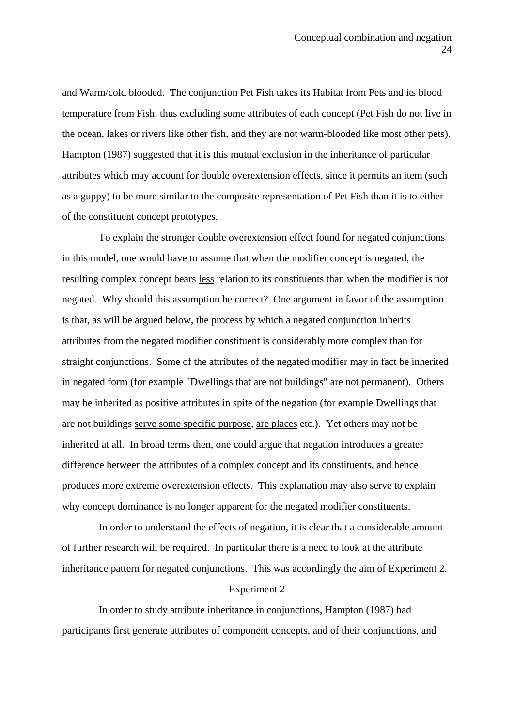and Warm/cold blooded. The conjunction Pet Fish takes its Habitat from Pets and its blood temperature from Fish, thus excluding some attributes of each concept (Pet Fish do not live in the ocean, lakes or rivers like other fish, and they are not warm-blooded like most other pets). Hampton (1987) suggested that it is this mutual exclusion in the inheritance of particular attributes which may account for double overextension effects, since it permits an item (such as a guppy) to be more similar to the composite representation of Pet Fish than it is to either of the constituent concept prototypes.

 To explain the stronger double overextension effect found for negated conjunctions in this model, one would have to assume that when the modifier concept is negated, the resulting complex concept bears less relation to its constituents than when the modifier is not negated. Why should this assumption be correct? One argument in favor of the assumption is that, as will be argued below, the process by which a negated conjunction inherits attributes from the negated modifier constituent is considerably more complex than for straight conjunctions. Some of the attributes of the negated modifier may in fact be inherited in negated form (for example "Dwellings that are not buildings" are not permanent). Others may be inherited as positive attributes in spite of the negation (for example Dwellings that are not buildings serve some specific purpose, are places etc.). Yet others may not be inherited at all. In broad terms then, one could argue that negation introduces a greater difference between the attributes of a complex concept and its constituents, and hence produces more extreme overextension effects. This explanation may also serve to explain why concept dominance is no longer apparent for the negated modifier constituents.

 In order to understand the effects of negation, it is clear that a considerable amount of further research will be required. In particular there is a need to look at the attribute inheritance pattern for negated conjunctions. This was accordingly the aim of Experiment 2.

#### Experiment 2

 In order to study attribute inheritance in conjunctions, Hampton (1987) had participants first generate attributes of component concepts, and of their conjunctions, and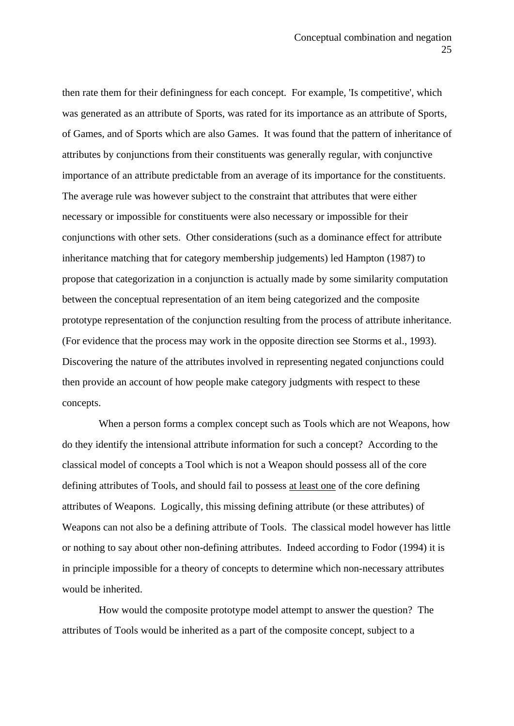then rate them for their definingness for each concept. For example, 'Is competitive', which was generated as an attribute of Sports, was rated for its importance as an attribute of Sports, of Games, and of Sports which are also Games. It was found that the pattern of inheritance of attributes by conjunctions from their constituents was generally regular, with conjunctive importance of an attribute predictable from an average of its importance for the constituents. The average rule was however subject to the constraint that attributes that were either necessary or impossible for constituents were also necessary or impossible for their conjunctions with other sets. Other considerations (such as a dominance effect for attribute inheritance matching that for category membership judgements) led Hampton (1987) to propose that categorization in a conjunction is actually made by some similarity computation between the conceptual representation of an item being categorized and the composite prototype representation of the conjunction resulting from the process of attribute inheritance. (For evidence that the process may work in the opposite direction see Storms et al., 1993). Discovering the nature of the attributes involved in representing negated conjunctions could then provide an account of how people make category judgments with respect to these concepts.

 When a person forms a complex concept such as Tools which are not Weapons, how do they identify the intensional attribute information for such a concept? According to the classical model of concepts a Tool which is not a Weapon should possess all of the core defining attributes of Tools, and should fail to possess at least one of the core defining attributes of Weapons. Logically, this missing defining attribute (or these attributes) of Weapons can not also be a defining attribute of Tools. The classical model however has little or nothing to say about other non-defining attributes. Indeed according to Fodor (1994) it is in principle impossible for a theory of concepts to determine which non-necessary attributes would be inherited.

 How would the composite prototype model attempt to answer the question? The attributes of Tools would be inherited as a part of the composite concept, subject to a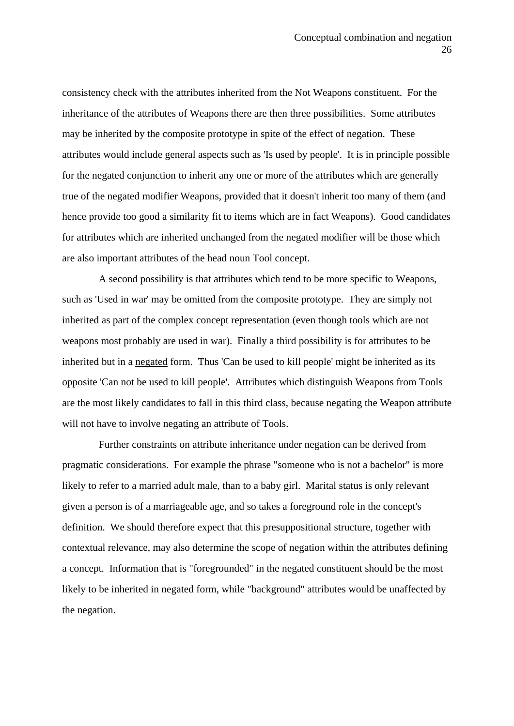consistency check with the attributes inherited from the Not Weapons constituent. For the inheritance of the attributes of Weapons there are then three possibilities. Some attributes may be inherited by the composite prototype in spite of the effect of negation. These attributes would include general aspects such as 'Is used by people'. It is in principle possible for the negated conjunction to inherit any one or more of the attributes which are generally true of the negated modifier Weapons, provided that it doesn't inherit too many of them (and hence provide too good a similarity fit to items which are in fact Weapons). Good candidates for attributes which are inherited unchanged from the negated modifier will be those which are also important attributes of the head noun Tool concept.

 A second possibility is that attributes which tend to be more specific to Weapons, such as 'Used in war' may be omitted from the composite prototype. They are simply not inherited as part of the complex concept representation (even though tools which are not weapons most probably are used in war). Finally a third possibility is for attributes to be inherited but in a negated form. Thus 'Can be used to kill people' might be inherited as its opposite 'Can not be used to kill people'. Attributes which distinguish Weapons from Tools are the most likely candidates to fall in this third class, because negating the Weapon attribute will not have to involve negating an attribute of Tools.

 Further constraints on attribute inheritance under negation can be derived from pragmatic considerations. For example the phrase "someone who is not a bachelor" is more likely to refer to a married adult male, than to a baby girl. Marital status is only relevant given a person is of a marriageable age, and so takes a foreground role in the concept's definition. We should therefore expect that this presuppositional structure, together with contextual relevance, may also determine the scope of negation within the attributes defining a concept. Information that is "foregrounded" in the negated constituent should be the most likely to be inherited in negated form, while "background" attributes would be unaffected by the negation.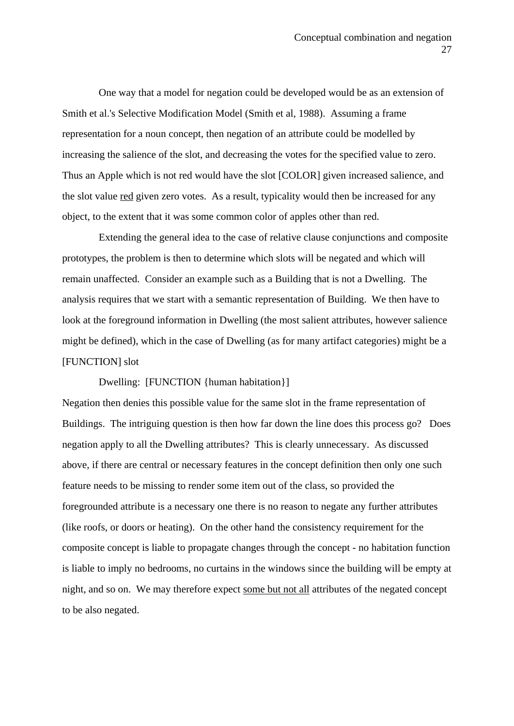One way that a model for negation could be developed would be as an extension of Smith et al.'s Selective Modification Model (Smith et al, 1988). Assuming a frame representation for a noun concept, then negation of an attribute could be modelled by increasing the salience of the slot, and decreasing the votes for the specified value to zero. Thus an Apple which is not red would have the slot [COLOR] given increased salience, and the slot value red given zero votes. As a result, typicality would then be increased for any object, to the extent that it was some common color of apples other than red.

 Extending the general idea to the case of relative clause conjunctions and composite prototypes, the problem is then to determine which slots will be negated and which will remain unaffected. Consider an example such as a Building that is not a Dwelling. The analysis requires that we start with a semantic representation of Building. We then have to look at the foreground information in Dwelling (the most salient attributes, however salience might be defined), which in the case of Dwelling (as for many artifact categories) might be a [FUNCTION] slot

Dwelling: [FUNCTION {human habitation}]

Negation then denies this possible value for the same slot in the frame representation of Buildings. The intriguing question is then how far down the line does this process go? Does negation apply to all the Dwelling attributes? This is clearly unnecessary. As discussed above, if there are central or necessary features in the concept definition then only one such feature needs to be missing to render some item out of the class, so provided the foregrounded attribute is a necessary one there is no reason to negate any further attributes (like roofs, or doors or heating). On the other hand the consistency requirement for the composite concept is liable to propagate changes through the concept - no habitation function is liable to imply no bedrooms, no curtains in the windows since the building will be empty at night, and so on. We may therefore expect some but not all attributes of the negated concept to be also negated.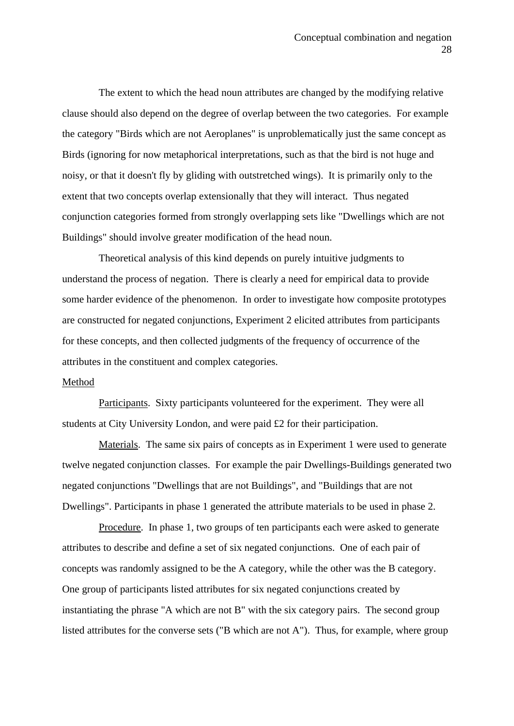The extent to which the head noun attributes are changed by the modifying relative clause should also depend on the degree of overlap between the two categories. For example the category "Birds which are not Aeroplanes" is unproblematically just the same concept as Birds (ignoring for now metaphorical interpretations, such as that the bird is not huge and noisy, or that it doesn't fly by gliding with outstretched wings). It is primarily only to the extent that two concepts overlap extensionally that they will interact. Thus negated conjunction categories formed from strongly overlapping sets like "Dwellings which are not Buildings" should involve greater modification of the head noun.

 Theoretical analysis of this kind depends on purely intuitive judgments to understand the process of negation. There is clearly a need for empirical data to provide some harder evidence of the phenomenon. In order to investigate how composite prototypes are constructed for negated conjunctions, Experiment 2 elicited attributes from participants for these concepts, and then collected judgments of the frequency of occurrence of the attributes in the constituent and complex categories.

#### Method

 Participants. Sixty participants volunteered for the experiment. They were all students at City University London, and were paid £2 for their participation.

 Materials. The same six pairs of concepts as in Experiment 1 were used to generate twelve negated conjunction classes. For example the pair Dwellings-Buildings generated two negated conjunctions "Dwellings that are not Buildings", and "Buildings that are not Dwellings". Participants in phase 1 generated the attribute materials to be used in phase 2.

 Procedure. In phase 1, two groups of ten participants each were asked to generate attributes to describe and define a set of six negated conjunctions. One of each pair of concepts was randomly assigned to be the A category, while the other was the B category. One group of participants listed attributes for six negated conjunctions created by instantiating the phrase "A which are not B" with the six category pairs. The second group listed attributes for the converse sets ("B which are not A"). Thus, for example, where group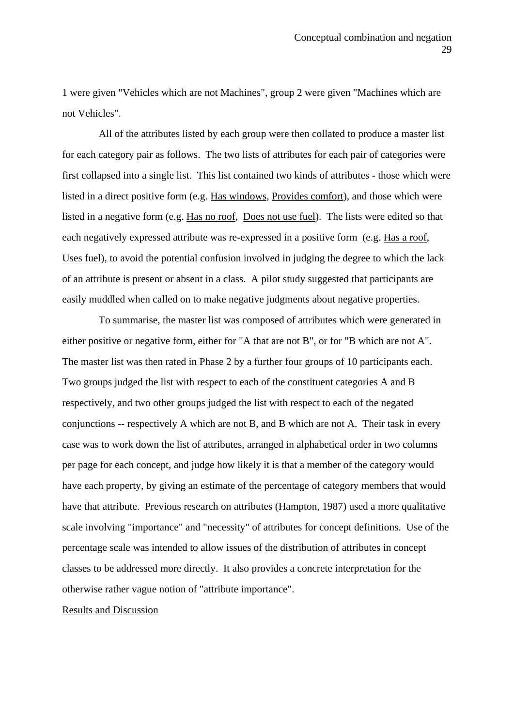1 were given "Vehicles which are not Machines", group 2 were given "Machines which are not Vehicles".

 All of the attributes listed by each group were then collated to produce a master list for each category pair as follows. The two lists of attributes for each pair of categories were first collapsed into a single list. This list contained two kinds of attributes - those which were listed in a direct positive form (e.g. Has windows, Provides comfort), and those which were listed in a negative form (e.g. Has no roof, Does not use fuel). The lists were edited so that each negatively expressed attribute was re-expressed in a positive form (e.g. Has a roof, Uses fuel), to avoid the potential confusion involved in judging the degree to which the lack of an attribute is present or absent in a class. A pilot study suggested that participants are easily muddled when called on to make negative judgments about negative properties.

 To summarise, the master list was composed of attributes which were generated in either positive or negative form, either for "A that are not B", or for "B which are not A". The master list was then rated in Phase 2 by a further four groups of 10 participants each. Two groups judged the list with respect to each of the constituent categories A and B respectively, and two other groups judged the list with respect to each of the negated conjunctions -- respectively A which are not B, and B which are not A. Their task in every case was to work down the list of attributes, arranged in alphabetical order in two columns per page for each concept, and judge how likely it is that a member of the category would have each property, by giving an estimate of the percentage of category members that would have that attribute. Previous research on attributes (Hampton, 1987) used a more qualitative scale involving "importance" and "necessity" of attributes for concept definitions. Use of the percentage scale was intended to allow issues of the distribution of attributes in concept classes to be addressed more directly. It also provides a concrete interpretation for the otherwise rather vague notion of "attribute importance".

#### Results and Discussion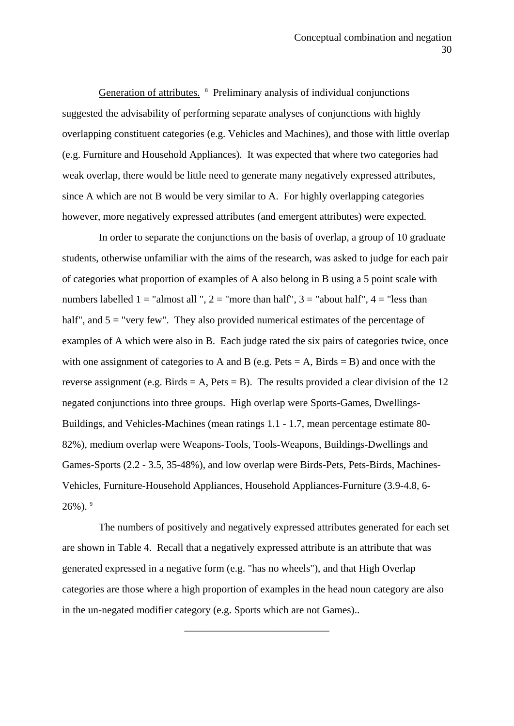Generation of attributes. <sup>8</sup> Preliminary analysis of individual conjunctions suggested the advisability of performing separate analyses of conjunctions with highly overlapping constituent categories (e.g. Vehicles and Machines), and those with little overlap (e.g. Furniture and Household Appliances). It was expected that where two categories had weak overlap, there would be little need to generate many negatively expressed attributes, since A which are not B would be very similar to A. For highly overlapping categories however, more negatively expressed attributes (and emergent attributes) were expected.

 In order to separate the conjunctions on the basis of overlap, a group of 10 graduate students, otherwise unfamiliar with the aims of the research, was asked to judge for each pair of categories what proportion of examples of A also belong in B using a 5 point scale with numbers labelled  $1 =$  "almost all ",  $2 =$  "more than half",  $3 =$  "about half",  $4 =$  "less than half", and  $5 =$  "very few". They also provided numerical estimates of the percentage of examples of A which were also in B. Each judge rated the six pairs of categories twice, once with one assignment of categories to A and B (e.g. Pets  $= A$ , Birds  $= B$ ) and once with the reverse assignment (e.g. Birds = A, Pets = B). The results provided a clear division of the 12 negated conjunctions into three groups. High overlap were Sports-Games, Dwellings-Buildings, and Vehicles-Machines (mean ratings 1.1 - 1.7, mean percentage estimate 80- 82%), medium overlap were Weapons-Tools, Tools-Weapons, Buildings-Dwellings and Games-Sports (2.2 - 3.5, 35-48%), and low overlap were Birds-Pets, Pets-Birds, Machines-Vehicles, Furniture-Household Appliances, Household Appliances-Furniture (3.9-4.8, 6-  $26\%$ ).  $9$ 

 The numbers of positively and negatively expressed attributes generated for each set are shown in Table 4. Recall that a negatively expressed attribute is an attribute that was generated expressed in a negative form (e.g. "has no wheels"), and that High Overlap categories are those where a high proportion of examples in the head noun category are also in the un-negated modifier category (e.g. Sports which are not Games)..

——————————————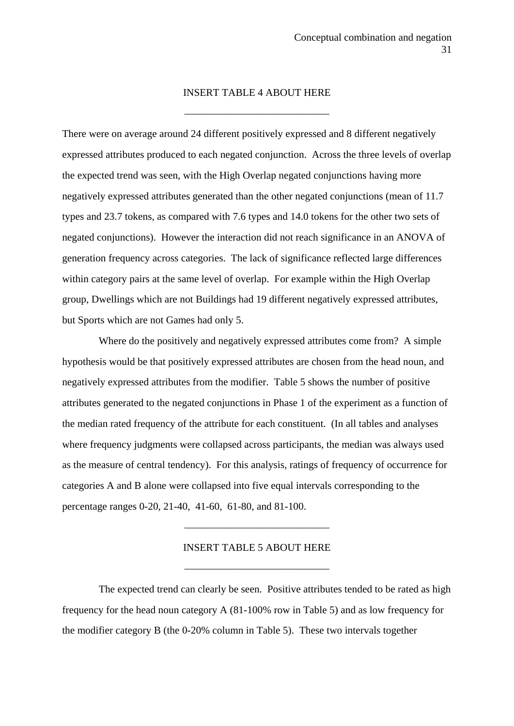#### INSERT TABLE 4 ABOUT HERE

——————————————

There were on average around 24 different positively expressed and 8 different negatively expressed attributes produced to each negated conjunction. Across the three levels of overlap the expected trend was seen, with the High Overlap negated conjunctions having more negatively expressed attributes generated than the other negated conjunctions (mean of 11.7 types and 23.7 tokens, as compared with 7.6 types and 14.0 tokens for the other two sets of negated conjunctions). However the interaction did not reach significance in an ANOVA of generation frequency across categories. The lack of significance reflected large differences within category pairs at the same level of overlap. For example within the High Overlap group, Dwellings which are not Buildings had 19 different negatively expressed attributes, but Sports which are not Games had only 5.

 Where do the positively and negatively expressed attributes come from? A simple hypothesis would be that positively expressed attributes are chosen from the head noun, and negatively expressed attributes from the modifier. Table 5 shows the number of positive attributes generated to the negated conjunctions in Phase 1 of the experiment as a function of the median rated frequency of the attribute for each constituent. (In all tables and analyses where frequency judgments were collapsed across participants, the median was always used as the measure of central tendency). For this analysis, ratings of frequency of occurrence for categories A and B alone were collapsed into five equal intervals corresponding to the percentage ranges 0-20, 21-40, 41-60, 61-80, and 81-100.

#### INSERT TABLE 5 ABOUT HERE

——————————————

——————————————

 The expected trend can clearly be seen. Positive attributes tended to be rated as high frequency for the head noun category A (81-100% row in Table 5) and as low frequency for the modifier category B (the 0-20% column in Table 5). These two intervals together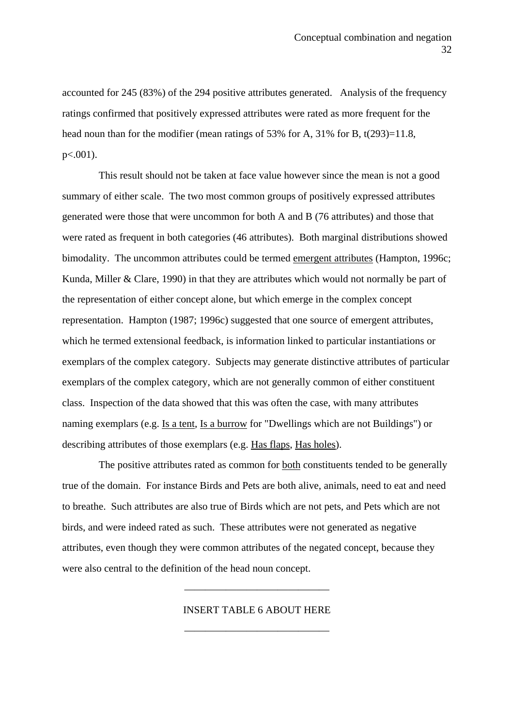accounted for 245 (83%) of the 294 positive attributes generated. Analysis of the frequency ratings confirmed that positively expressed attributes were rated as more frequent for the head noun than for the modifier (mean ratings of 53% for A, 31% for B, t(293)=11.8,  $p<.001$ ).

 This result should not be taken at face value however since the mean is not a good summary of either scale. The two most common groups of positively expressed attributes generated were those that were uncommon for both A and B (76 attributes) and those that were rated as frequent in both categories (46 attributes). Both marginal distributions showed bimodality. The uncommon attributes could be termed emergent attributes (Hampton, 1996c; Kunda, Miller & Clare, 1990) in that they are attributes which would not normally be part of the representation of either concept alone, but which emerge in the complex concept representation. Hampton (1987; 1996c) suggested that one source of emergent attributes, which he termed extensional feedback, is information linked to particular instantiations or exemplars of the complex category. Subjects may generate distinctive attributes of particular exemplars of the complex category, which are not generally common of either constituent class. Inspection of the data showed that this was often the case, with many attributes naming exemplars (e.g. Is a tent, Is a burrow for "Dwellings which are not Buildings") or describing attributes of those exemplars (e.g. Has flaps, Has holes).

 The positive attributes rated as common for both constituents tended to be generally true of the domain. For instance Birds and Pets are both alive, animals, need to eat and need to breathe. Such attributes are also true of Birds which are not pets, and Pets which are not birds, and were indeed rated as such. These attributes were not generated as negative attributes, even though they were common attributes of the negated concept, because they were also central to the definition of the head noun concept.

## INSERT TABLE 6 ABOUT HERE

——————————————

——————————————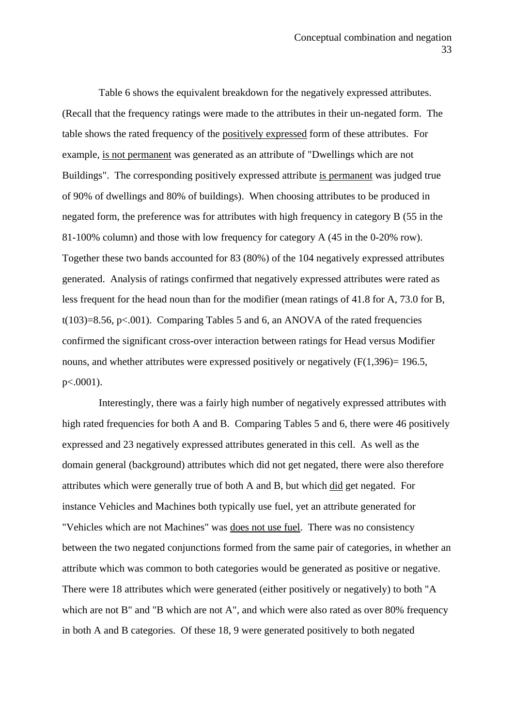Table 6 shows the equivalent breakdown for the negatively expressed attributes. (Recall that the frequency ratings were made to the attributes in their un-negated form. The table shows the rated frequency of the positively expressed form of these attributes. For example, is not permanent was generated as an attribute of "Dwellings which are not Buildings". The corresponding positively expressed attribute is permanent was judged true of 90% of dwellings and 80% of buildings). When choosing attributes to be produced in negated form, the preference was for attributes with high frequency in category B (55 in the 81-100% column) and those with low frequency for category A (45 in the 0-20% row). Together these two bands accounted for 83 (80%) of the 104 negatively expressed attributes generated. Analysis of ratings confirmed that negatively expressed attributes were rated as less frequent for the head noun than for the modifier (mean ratings of 41.8 for A, 73.0 for B, t(103)=8.56, p<.001). Comparing Tables 5 and 6, an ANOVA of the rated frequencies confirmed the significant cross-over interaction between ratings for Head versus Modifier nouns, and whether attributes were expressed positively or negatively  $(F(1,396)=196.5,$ p<.0001).

 Interestingly, there was a fairly high number of negatively expressed attributes with high rated frequencies for both A and B. Comparing Tables 5 and 6, there were 46 positively expressed and 23 negatively expressed attributes generated in this cell. As well as the domain general (background) attributes which did not get negated, there were also therefore attributes which were generally true of both A and B, but which did get negated. For instance Vehicles and Machines both typically use fuel, yet an attribute generated for "Vehicles which are not Machines" was does not use fuel. There was no consistency between the two negated conjunctions formed from the same pair of categories, in whether an attribute which was common to both categories would be generated as positive or negative. There were 18 attributes which were generated (either positively or negatively) to both "A which are not B" and "B which are not A", and which were also rated as over 80% frequency in both A and B categories. Of these 18, 9 were generated positively to both negated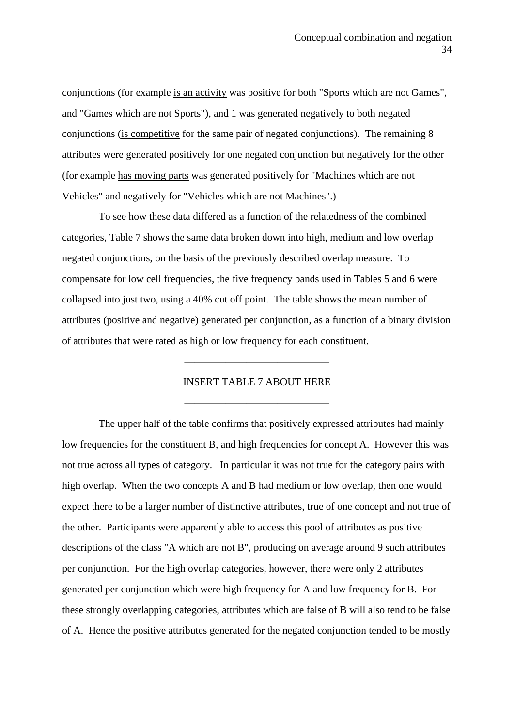conjunctions (for example is an activity was positive for both "Sports which are not Games", and "Games which are not Sports"), and 1 was generated negatively to both negated conjunctions (is competitive for the same pair of negated conjunctions). The remaining 8 attributes were generated positively for one negated conjunction but negatively for the other (for example has moving parts was generated positively for "Machines which are not Vehicles" and negatively for "Vehicles which are not Machines".)

 To see how these data differed as a function of the relatedness of the combined categories, Table 7 shows the same data broken down into high, medium and low overlap negated conjunctions, on the basis of the previously described overlap measure. To compensate for low cell frequencies, the five frequency bands used in Tables 5 and 6 were collapsed into just two, using a 40% cut off point. The table shows the mean number of attributes (positive and negative) generated per conjunction, as a function of a binary division of attributes that were rated as high or low frequency for each constituent.

# INSERT TABLE 7 ABOUT HERE

——————————————

——————————————

 The upper half of the table confirms that positively expressed attributes had mainly low frequencies for the constituent B, and high frequencies for concept A. However this was not true across all types of category. In particular it was not true for the category pairs with high overlap. When the two concepts A and B had medium or low overlap, then one would expect there to be a larger number of distinctive attributes, true of one concept and not true of the other. Participants were apparently able to access this pool of attributes as positive descriptions of the class "A which are not B", producing on average around 9 such attributes per conjunction. For the high overlap categories, however, there were only 2 attributes generated per conjunction which were high frequency for A and low frequency for B. For these strongly overlapping categories, attributes which are false of B will also tend to be false of A. Hence the positive attributes generated for the negated conjunction tended to be mostly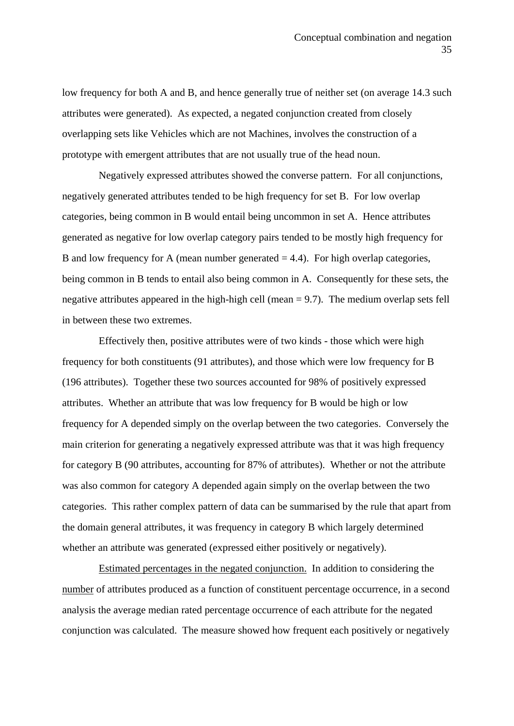low frequency for both A and B, and hence generally true of neither set (on average 14.3 such attributes were generated). As expected, a negated conjunction created from closely overlapping sets like Vehicles which are not Machines, involves the construction of a prototype with emergent attributes that are not usually true of the head noun.

 Negatively expressed attributes showed the converse pattern. For all conjunctions, negatively generated attributes tended to be high frequency for set B. For low overlap categories, being common in B would entail being uncommon in set A. Hence attributes generated as negative for low overlap category pairs tended to be mostly high frequency for B and low frequency for A (mean number generated  $= 4.4$ ). For high overlap categories, being common in B tends to entail also being common in A. Consequently for these sets, the negative attributes appeared in the high-high cell (mean = 9.7). The medium overlap sets fell in between these two extremes.

 Effectively then, positive attributes were of two kinds - those which were high frequency for both constituents (91 attributes), and those which were low frequency for B (196 attributes). Together these two sources accounted for 98% of positively expressed attributes. Whether an attribute that was low frequency for B would be high or low frequency for A depended simply on the overlap between the two categories. Conversely the main criterion for generating a negatively expressed attribute was that it was high frequency for category B (90 attributes, accounting for 87% of attributes). Whether or not the attribute was also common for category A depended again simply on the overlap between the two categories. This rather complex pattern of data can be summarised by the rule that apart from the domain general attributes, it was frequency in category B which largely determined whether an attribute was generated (expressed either positively or negatively).

 Estimated percentages in the negated conjunction. In addition to considering the number of attributes produced as a function of constituent percentage occurrence, in a second analysis the average median rated percentage occurrence of each attribute for the negated conjunction was calculated. The measure showed how frequent each positively or negatively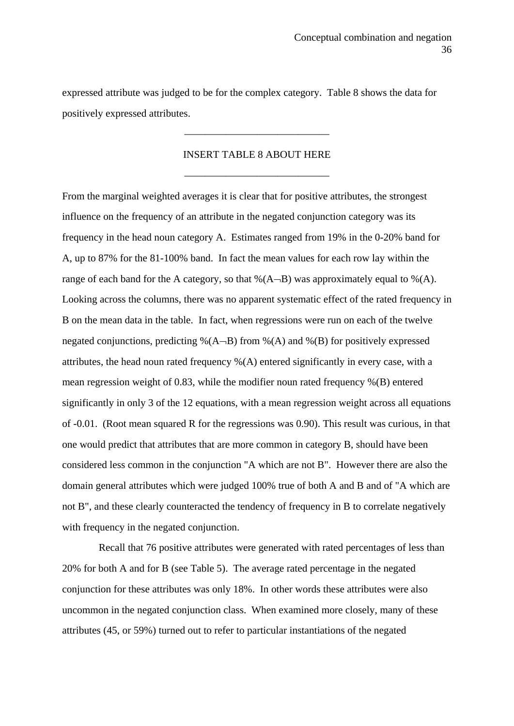expressed attribute was judged to be for the complex category. Table 8 shows the data for positively expressed attributes.

### INSERT TABLE 8 ABOUT HERE

——————————————

——————————————

From the marginal weighted averages it is clear that for positive attributes, the strongest influence on the frequency of an attribute in the negated conjunction category was its frequency in the head noun category A. Estimates ranged from 19% in the 0-20% band for A, up to 87% for the 81-100% band. In fact the mean values for each row lay within the range of each band for the A category, so that  $\mathcal{A}(A-B)$  was approximately equal to  $\mathcal{A}(A)$ . Looking across the columns, there was no apparent systematic effect of the rated frequency in B on the mean data in the table. In fact, when regressions were run on each of the twelve negated conjunctions, predicting  $\mathcal{O}(A-B)$  from  $\mathcal{O}(A)$  and  $\mathcal{O}(B)$  for positively expressed attributes, the head noun rated frequency %(A) entered significantly in every case, with a mean regression weight of 0.83, while the modifier noun rated frequency %(B) entered significantly in only 3 of the 12 equations, with a mean regression weight across all equations of -0.01. (Root mean squared R for the regressions was 0.90). This result was curious, in that one would predict that attributes that are more common in category B, should have been considered less common in the conjunction "A which are not B". However there are also the domain general attributes which were judged 100% true of both A and B and of "A which are not B", and these clearly counteracted the tendency of frequency in B to correlate negatively with frequency in the negated conjunction.

 Recall that 76 positive attributes were generated with rated percentages of less than 20% for both A and for B (see Table 5). The average rated percentage in the negated conjunction for these attributes was only 18%. In other words these attributes were also uncommon in the negated conjunction class. When examined more closely, many of these attributes (45, or 59%) turned out to refer to particular instantiations of the negated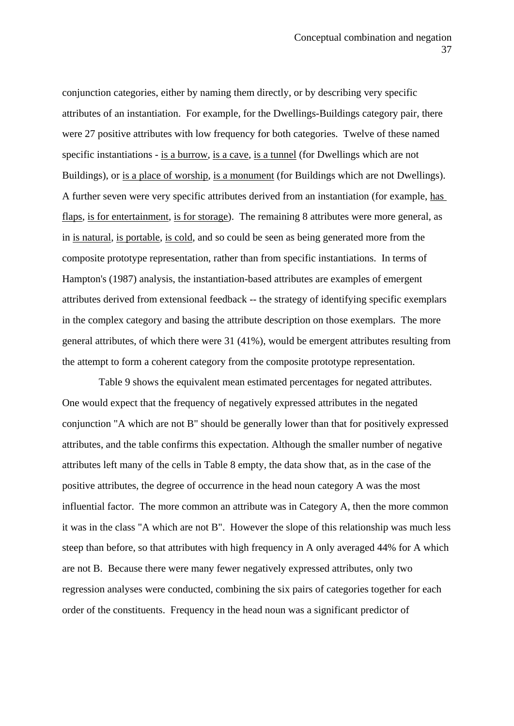conjunction categories, either by naming them directly, or by describing very specific attributes of an instantiation. For example, for the Dwellings-Buildings category pair, there were 27 positive attributes with low frequency for both categories. Twelve of these named specific instantiations - is a burrow, is a cave, is a tunnel (for Dwellings which are not Buildings), or is a place of worship, is a monument (for Buildings which are not Dwellings). A further seven were very specific attributes derived from an instantiation (for example, has flaps, is for entertainment, is for storage). The remaining 8 attributes were more general, as in is natural, is portable, is cold, and so could be seen as being generated more from the composite prototype representation, rather than from specific instantiations. In terms of Hampton's (1987) analysis, the instantiation-based attributes are examples of emergent attributes derived from extensional feedback -- the strategy of identifying specific exemplars in the complex category and basing the attribute description on those exemplars. The more general attributes, of which there were 31 (41%), would be emergent attributes resulting from the attempt to form a coherent category from the composite prototype representation.

 Table 9 shows the equivalent mean estimated percentages for negated attributes. One would expect that the frequency of negatively expressed attributes in the negated conjunction "A which are not B" should be generally lower than that for positively expressed attributes, and the table confirms this expectation. Although the smaller number of negative attributes left many of the cells in Table 8 empty, the data show that, as in the case of the positive attributes, the degree of occurrence in the head noun category A was the most influential factor. The more common an attribute was in Category A, then the more common it was in the class "A which are not B". However the slope of this relationship was much less steep than before, so that attributes with high frequency in A only averaged 44% for A which are not B. Because there were many fewer negatively expressed attributes, only two regression analyses were conducted, combining the six pairs of categories together for each order of the constituents. Frequency in the head noun was a significant predictor of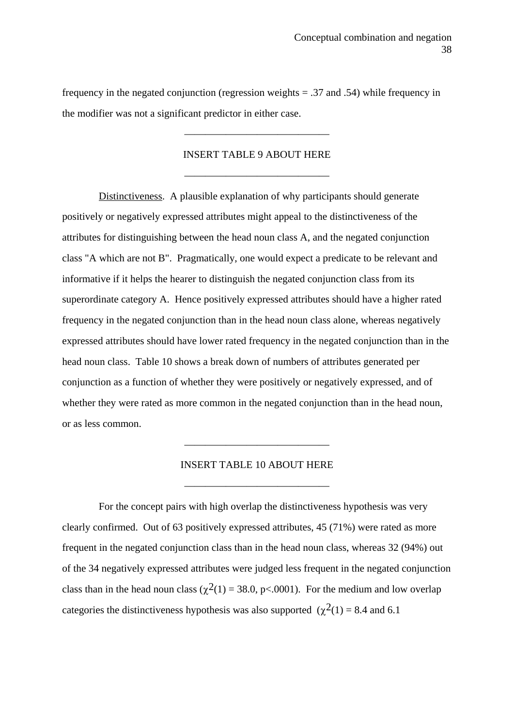frequency in the negated conjunction (regression weights  $= .37$  and .54) while frequency in the modifier was not a significant predictor in either case.

### INSERT TABLE 9 ABOUT HERE

——————————————

——————————————

 Distinctiveness. A plausible explanation of why participants should generate positively or negatively expressed attributes might appeal to the distinctiveness of the attributes for distinguishing between the head noun class A, and the negated conjunction class "A which are not B". Pragmatically, one would expect a predicate to be relevant and informative if it helps the hearer to distinguish the negated conjunction class from its superordinate category A. Hence positively expressed attributes should have a higher rated frequency in the negated conjunction than in the head noun class alone, whereas negatively expressed attributes should have lower rated frequency in the negated conjunction than in the head noun class. Table 10 shows a break down of numbers of attributes generated per conjunction as a function of whether they were positively or negatively expressed, and of whether they were rated as more common in the negated conjunction than in the head noun, or as less common.

#### INSERT TABLE 10 ABOUT HERE

——————————————

——————————————

 For the concept pairs with high overlap the distinctiveness hypothesis was very clearly confirmed. Out of 63 positively expressed attributes, 45 (71%) were rated as more frequent in the negated conjunction class than in the head noun class, whereas 32 (94%) out of the 34 negatively expressed attributes were judged less frequent in the negated conjunction class than in the head noun class ( $\chi^2(1) = 38.0$ , p<.0001). For the medium and low overlap categories the distinctiveness hypothesis was also supported  $(\chi^2(1) = 8.4$  and 6.1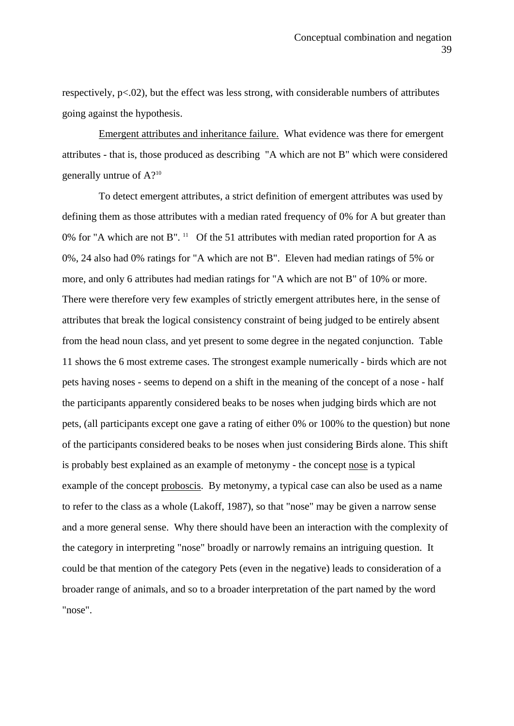respectively, p<.02), but the effect was less strong, with considerable numbers of attributes going against the hypothesis.

 Emergent attributes and inheritance failure. What evidence was there for emergent attributes - that is, those produced as describing "A which are not B" which were considered generally untrue of A?10

 To detect emergent attributes, a strict definition of emergent attributes was used by defining them as those attributes with a median rated frequency of 0% for A but greater than 0% for "A which are not B". <sup>11</sup> Of the 51 attributes with median rated proportion for A as 0%, 24 also had 0% ratings for "A which are not B". Eleven had median ratings of 5% or more, and only 6 attributes had median ratings for "A which are not B" of 10% or more. There were therefore very few examples of strictly emergent attributes here, in the sense of attributes that break the logical consistency constraint of being judged to be entirely absent from the head noun class, and yet present to some degree in the negated conjunction. Table 11 shows the 6 most extreme cases. The strongest example numerically - birds which are not pets having noses - seems to depend on a shift in the meaning of the concept of a nose - half the participants apparently considered beaks to be noses when judging birds which are not pets, (all participants except one gave a rating of either 0% or 100% to the question) but none of the participants considered beaks to be noses when just considering Birds alone. This shift is probably best explained as an example of metonymy - the concept nose is a typical example of the concept proboscis. By metonymy, a typical case can also be used as a name to refer to the class as a whole (Lakoff, 1987), so that "nose" may be given a narrow sense and a more general sense. Why there should have been an interaction with the complexity of the category in interpreting "nose" broadly or narrowly remains an intriguing question. It could be that mention of the category Pets (even in the negative) leads to consideration of a broader range of animals, and so to a broader interpretation of the part named by the word "nose".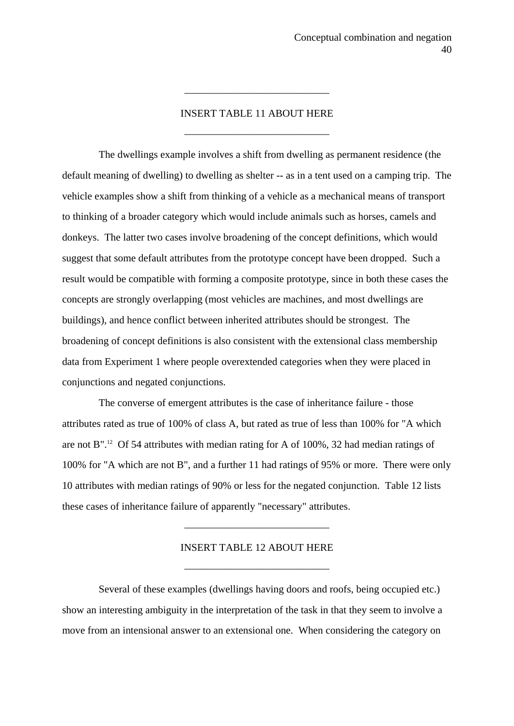### INSERT TABLE 11 ABOUT HERE

——————————————

——————————————

 The dwellings example involves a shift from dwelling as permanent residence (the default meaning of dwelling) to dwelling as shelter -- as in a tent used on a camping trip. The vehicle examples show a shift from thinking of a vehicle as a mechanical means of transport to thinking of a broader category which would include animals such as horses, camels and donkeys. The latter two cases involve broadening of the concept definitions, which would suggest that some default attributes from the prototype concept have been dropped. Such a result would be compatible with forming a composite prototype, since in both these cases the concepts are strongly overlapping (most vehicles are machines, and most dwellings are buildings), and hence conflict between inherited attributes should be strongest. The broadening of concept definitions is also consistent with the extensional class membership data from Experiment 1 where people overextended categories when they were placed in conjunctions and negated conjunctions.

 The converse of emergent attributes is the case of inheritance failure - those attributes rated as true of 100% of class A, but rated as true of less than 100% for "A which are not B".12 Of 54 attributes with median rating for A of 100%, 32 had median ratings of 100% for "A which are not B", and a further 11 had ratings of 95% or more. There were only 10 attributes with median ratings of 90% or less for the negated conjunction. Table 12 lists these cases of inheritance failure of apparently "necessary" attributes.

### INSERT TABLE 12 ABOUT HERE

——————————————

——————————————

 Several of these examples (dwellings having doors and roofs, being occupied etc.) show an interesting ambiguity in the interpretation of the task in that they seem to involve a move from an intensional answer to an extensional one. When considering the category on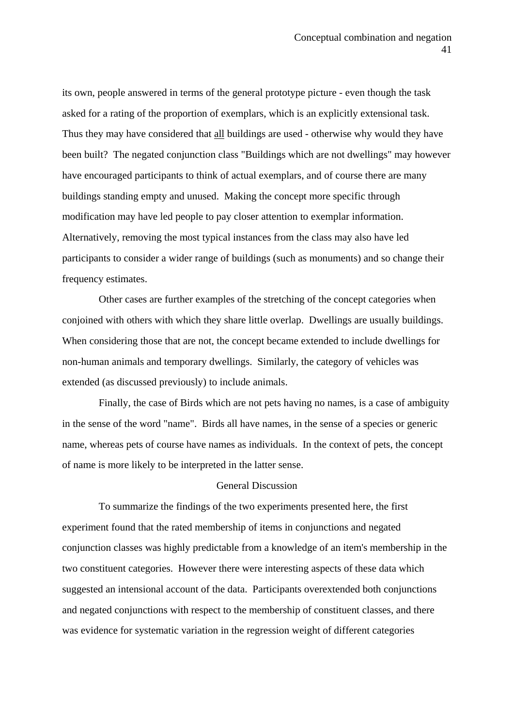its own, people answered in terms of the general prototype picture - even though the task asked for a rating of the proportion of exemplars, which is an explicitly extensional task. Thus they may have considered that all buildings are used - otherwise why would they have been built? The negated conjunction class "Buildings which are not dwellings" may however have encouraged participants to think of actual exemplars, and of course there are many buildings standing empty and unused. Making the concept more specific through modification may have led people to pay closer attention to exemplar information. Alternatively, removing the most typical instances from the class may also have led participants to consider a wider range of buildings (such as monuments) and so change their frequency estimates.

 Other cases are further examples of the stretching of the concept categories when conjoined with others with which they share little overlap. Dwellings are usually buildings. When considering those that are not, the concept became extended to include dwellings for non-human animals and temporary dwellings. Similarly, the category of vehicles was extended (as discussed previously) to include animals.

 Finally, the case of Birds which are not pets having no names, is a case of ambiguity in the sense of the word "name". Birds all have names, in the sense of a species or generic name, whereas pets of course have names as individuals. In the context of pets, the concept of name is more likely to be interpreted in the latter sense.

### General Discussion

 To summarize the findings of the two experiments presented here, the first experiment found that the rated membership of items in conjunctions and negated conjunction classes was highly predictable from a knowledge of an item's membership in the two constituent categories. However there were interesting aspects of these data which suggested an intensional account of the data. Participants overextended both conjunctions and negated conjunctions with respect to the membership of constituent classes, and there was evidence for systematic variation in the regression weight of different categories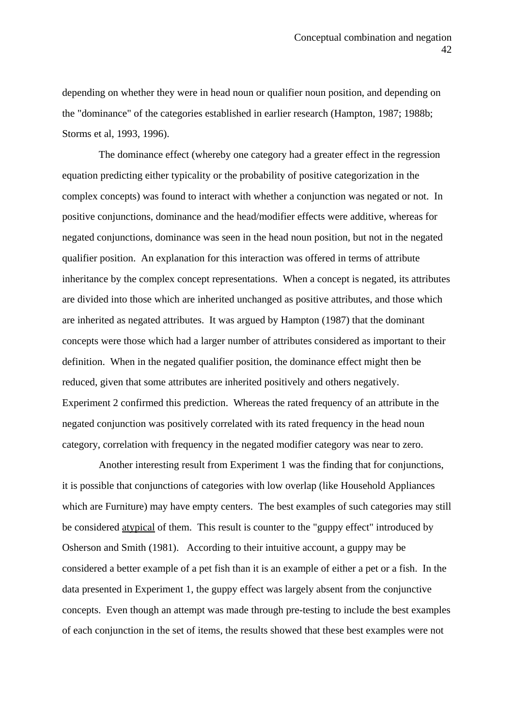depending on whether they were in head noun or qualifier noun position, and depending on the "dominance" of the categories established in earlier research (Hampton, 1987; 1988b; Storms et al, 1993, 1996).

 The dominance effect (whereby one category had a greater effect in the regression equation predicting either typicality or the probability of positive categorization in the complex concepts) was found to interact with whether a conjunction was negated or not. In positive conjunctions, dominance and the head/modifier effects were additive, whereas for negated conjunctions, dominance was seen in the head noun position, but not in the negated qualifier position. An explanation for this interaction was offered in terms of attribute inheritance by the complex concept representations. When a concept is negated, its attributes are divided into those which are inherited unchanged as positive attributes, and those which are inherited as negated attributes. It was argued by Hampton (1987) that the dominant concepts were those which had a larger number of attributes considered as important to their definition. When in the negated qualifier position, the dominance effect might then be reduced, given that some attributes are inherited positively and others negatively. Experiment 2 confirmed this prediction. Whereas the rated frequency of an attribute in the negated conjunction was positively correlated with its rated frequency in the head noun category, correlation with frequency in the negated modifier category was near to zero.

 Another interesting result from Experiment 1 was the finding that for conjunctions, it is possible that conjunctions of categories with low overlap (like Household Appliances which are Furniture) may have empty centers. The best examples of such categories may still be considered atypical of them. This result is counter to the "guppy effect" introduced by Osherson and Smith (1981). According to their intuitive account, a guppy may be considered a better example of a pet fish than it is an example of either a pet or a fish. In the data presented in Experiment 1, the guppy effect was largely absent from the conjunctive concepts. Even though an attempt was made through pre-testing to include the best examples of each conjunction in the set of items, the results showed that these best examples were not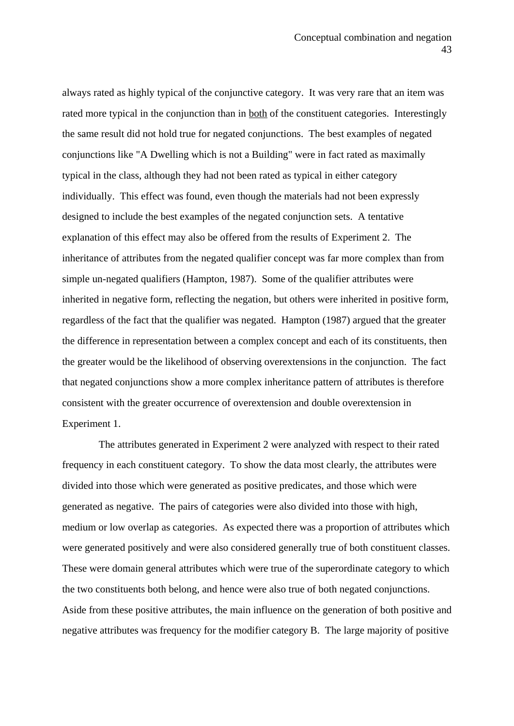always rated as highly typical of the conjunctive category. It was very rare that an item was rated more typical in the conjunction than in both of the constituent categories. Interestingly the same result did not hold true for negated conjunctions. The best examples of negated conjunctions like "A Dwelling which is not a Building" were in fact rated as maximally typical in the class, although they had not been rated as typical in either category individually. This effect was found, even though the materials had not been expressly designed to include the best examples of the negated conjunction sets. A tentative explanation of this effect may also be offered from the results of Experiment 2. The inheritance of attributes from the negated qualifier concept was far more complex than from simple un-negated qualifiers (Hampton, 1987). Some of the qualifier attributes were inherited in negative form, reflecting the negation, but others were inherited in positive form, regardless of the fact that the qualifier was negated. Hampton (1987) argued that the greater the difference in representation between a complex concept and each of its constituents, then the greater would be the likelihood of observing overextensions in the conjunction. The fact that negated conjunctions show a more complex inheritance pattern of attributes is therefore consistent with the greater occurrence of overextension and double overextension in Experiment 1.

 The attributes generated in Experiment 2 were analyzed with respect to their rated frequency in each constituent category. To show the data most clearly, the attributes were divided into those which were generated as positive predicates, and those which were generated as negative. The pairs of categories were also divided into those with high, medium or low overlap as categories. As expected there was a proportion of attributes which were generated positively and were also considered generally true of both constituent classes. These were domain general attributes which were true of the superordinate category to which the two constituents both belong, and hence were also true of both negated conjunctions. Aside from these positive attributes, the main influence on the generation of both positive and negative attributes was frequency for the modifier category B. The large majority of positive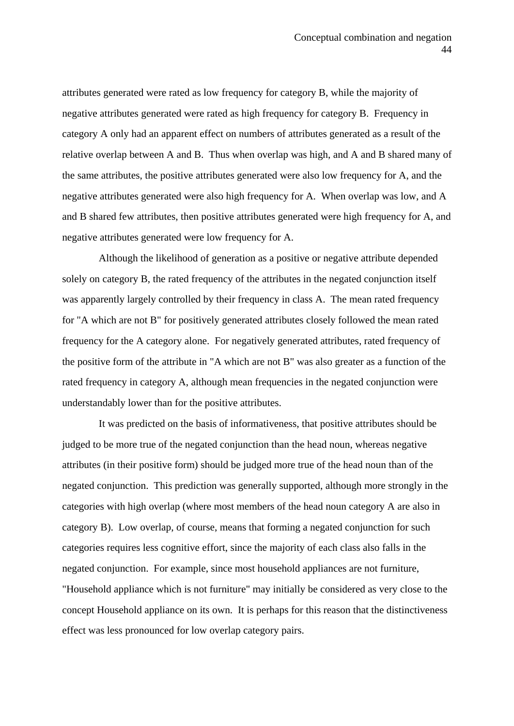attributes generated were rated as low frequency for category B, while the majority of negative attributes generated were rated as high frequency for category B. Frequency in category A only had an apparent effect on numbers of attributes generated as a result of the relative overlap between A and B. Thus when overlap was high, and A and B shared many of the same attributes, the positive attributes generated were also low frequency for A, and the negative attributes generated were also high frequency for A. When overlap was low, and A and B shared few attributes, then positive attributes generated were high frequency for A, and negative attributes generated were low frequency for A.

 Although the likelihood of generation as a positive or negative attribute depended solely on category B, the rated frequency of the attributes in the negated conjunction itself was apparently largely controlled by their frequency in class A. The mean rated frequency for "A which are not B" for positively generated attributes closely followed the mean rated frequency for the A category alone. For negatively generated attributes, rated frequency of the positive form of the attribute in "A which are not B" was also greater as a function of the rated frequency in category A, although mean frequencies in the negated conjunction were understandably lower than for the positive attributes.

 It was predicted on the basis of informativeness, that positive attributes should be judged to be more true of the negated conjunction than the head noun, whereas negative attributes (in their positive form) should be judged more true of the head noun than of the negated conjunction. This prediction was generally supported, although more strongly in the categories with high overlap (where most members of the head noun category A are also in category B). Low overlap, of course, means that forming a negated conjunction for such categories requires less cognitive effort, since the majority of each class also falls in the negated conjunction. For example, since most household appliances are not furniture, "Household appliance which is not furniture" may initially be considered as very close to the concept Household appliance on its own. It is perhaps for this reason that the distinctiveness effect was less pronounced for low overlap category pairs.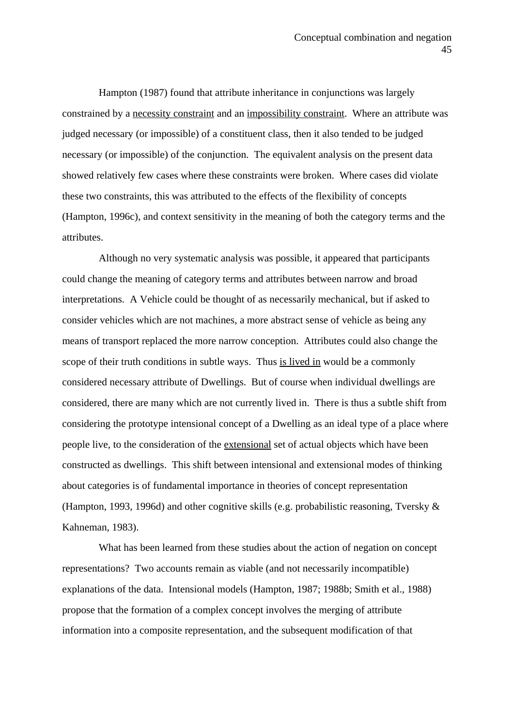Hampton (1987) found that attribute inheritance in conjunctions was largely constrained by a necessity constraint and an impossibility constraint. Where an attribute was judged necessary (or impossible) of a constituent class, then it also tended to be judged necessary (or impossible) of the conjunction. The equivalent analysis on the present data showed relatively few cases where these constraints were broken. Where cases did violate these two constraints, this was attributed to the effects of the flexibility of concepts (Hampton, 1996c), and context sensitivity in the meaning of both the category terms and the attributes.

 Although no very systematic analysis was possible, it appeared that participants could change the meaning of category terms and attributes between narrow and broad interpretations. A Vehicle could be thought of as necessarily mechanical, but if asked to consider vehicles which are not machines, a more abstract sense of vehicle as being any means of transport replaced the more narrow conception. Attributes could also change the scope of their truth conditions in subtle ways. Thus is lived in would be a commonly considered necessary attribute of Dwellings. But of course when individual dwellings are considered, there are many which are not currently lived in. There is thus a subtle shift from considering the prototype intensional concept of a Dwelling as an ideal type of a place where people live, to the consideration of the extensional set of actual objects which have been constructed as dwellings. This shift between intensional and extensional modes of thinking about categories is of fundamental importance in theories of concept representation (Hampton, 1993, 1996d) and other cognitive skills (e.g. probabilistic reasoning, Tversky & Kahneman, 1983).

 What has been learned from these studies about the action of negation on concept representations? Two accounts remain as viable (and not necessarily incompatible) explanations of the data. Intensional models (Hampton, 1987; 1988b; Smith et al., 1988) propose that the formation of a complex concept involves the merging of attribute information into a composite representation, and the subsequent modification of that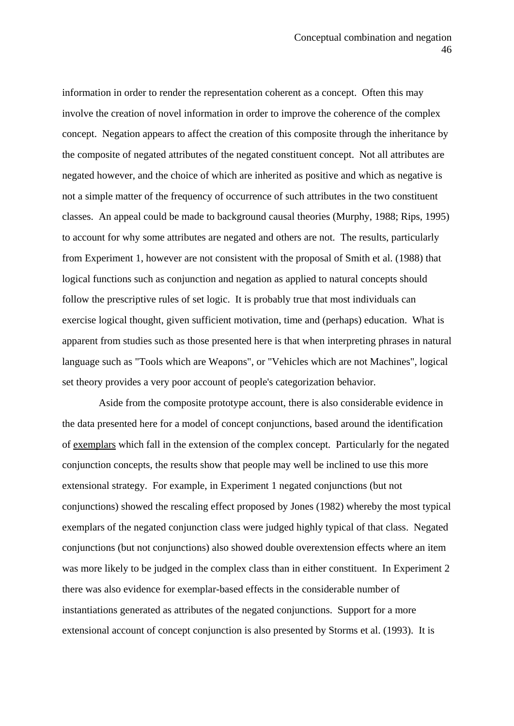information in order to render the representation coherent as a concept. Often this may involve the creation of novel information in order to improve the coherence of the complex concept. Negation appears to affect the creation of this composite through the inheritance by the composite of negated attributes of the negated constituent concept. Not all attributes are negated however, and the choice of which are inherited as positive and which as negative is not a simple matter of the frequency of occurrence of such attributes in the two constituent classes. An appeal could be made to background causal theories (Murphy, 1988; Rips, 1995) to account for why some attributes are negated and others are not. The results, particularly from Experiment 1, however are not consistent with the proposal of Smith et al. (1988) that logical functions such as conjunction and negation as applied to natural concepts should follow the prescriptive rules of set logic. It is probably true that most individuals can exercise logical thought, given sufficient motivation, time and (perhaps) education. What is apparent from studies such as those presented here is that when interpreting phrases in natural language such as "Tools which are Weapons", or "Vehicles which are not Machines", logical set theory provides a very poor account of people's categorization behavior.

 Aside from the composite prototype account, there is also considerable evidence in the data presented here for a model of concept conjunctions, based around the identification of exemplars which fall in the extension of the complex concept. Particularly for the negated conjunction concepts, the results show that people may well be inclined to use this more extensional strategy. For example, in Experiment 1 negated conjunctions (but not conjunctions) showed the rescaling effect proposed by Jones (1982) whereby the most typical exemplars of the negated conjunction class were judged highly typical of that class. Negated conjunctions (but not conjunctions) also showed double overextension effects where an item was more likely to be judged in the complex class than in either constituent. In Experiment 2 there was also evidence for exemplar-based effects in the considerable number of instantiations generated as attributes of the negated conjunctions. Support for a more extensional account of concept conjunction is also presented by Storms et al. (1993). It is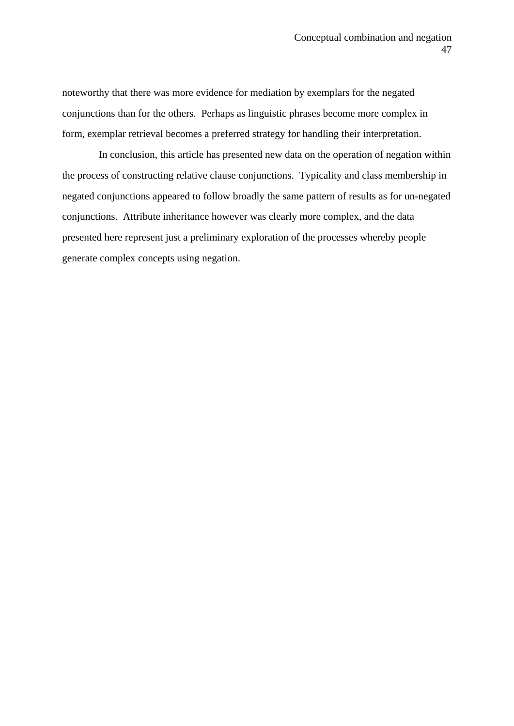noteworthy that there was more evidence for mediation by exemplars for the negated conjunctions than for the others. Perhaps as linguistic phrases become more complex in form, exemplar retrieval becomes a preferred strategy for handling their interpretation.

 In conclusion, this article has presented new data on the operation of negation within the process of constructing relative clause conjunctions. Typicality and class membership in negated conjunctions appeared to follow broadly the same pattern of results as for un-negated conjunctions. Attribute inheritance however was clearly more complex, and the data presented here represent just a preliminary exploration of the processes whereby people generate complex concepts using negation.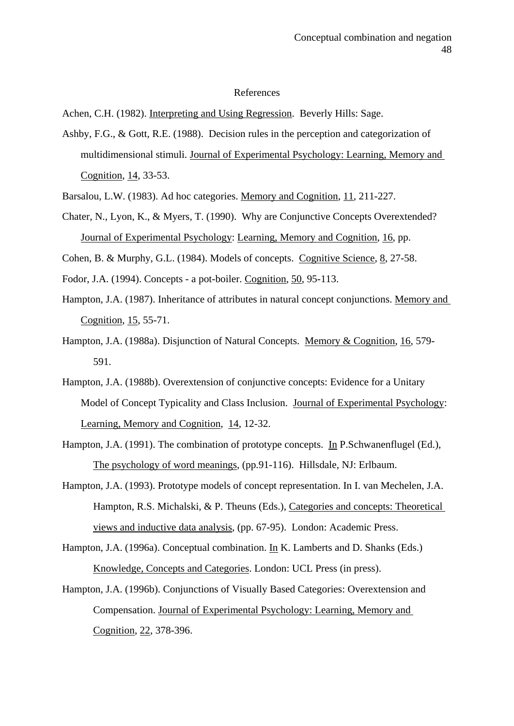#### References

Achen, C.H. (1982). Interpreting and Using Regression. Beverly Hills: Sage.

- Ashby, F.G., & Gott, R.E. (1988). Decision rules in the perception and categorization of multidimensional stimuli. Journal of Experimental Psychology: Learning, Memory and Cognition, 14, 33-53.
- Barsalou, L.W. (1983). Ad hoc categories. Memory and Cognition, 11, 211-227.
- Chater, N., Lyon, K., & Myers, T. (1990). Why are Conjunctive Concepts Overextended? Journal of Experimental Psychology: Learning, Memory and Cognition, 16, pp.

Cohen, B. & Murphy, G.L. (1984). Models of concepts. Cognitive Science, 8, 27-58.

- Fodor, J.A. (1994). Concepts a pot-boiler. Cognition, 50, 95-113.
- Hampton, J.A. (1987). Inheritance of attributes in natural concept conjunctions. Memory and Cognition, 15, 55-71.
- Hampton, J.A. (1988a). Disjunction of Natural Concepts. Memory & Cognition, 16, 579- 591.
- Hampton, J.A. (1988b). Overextension of conjunctive concepts: Evidence for a Unitary Model of Concept Typicality and Class Inclusion. Journal of Experimental Psychology: Learning, Memory and Cognition, 14, 12-32.
- Hampton, J.A. (1991). The combination of prototype concepts. In P.Schwanenflugel (Ed.), The psychology of word meanings, (pp.91-116). Hillsdale, NJ: Erlbaum.
- Hampton, J.A. (1993). Prototype models of concept representation. In I. van Mechelen, J.A. Hampton, R.S. Michalski, & P. Theuns (Eds.), Categories and concepts: Theoretical views and inductive data analysis, (pp. 67-95). London: Academic Press.
- Hampton, J.A. (1996a). Conceptual combination. In K. Lamberts and D. Shanks (Eds.) Knowledge, Concepts and Categories. London: UCL Press (in press).
- Hampton, J.A. (1996b). Conjunctions of Visually Based Categories: Overextension and Compensation. Journal of Experimental Psychology: Learning, Memory and Cognition, 22, 378-396.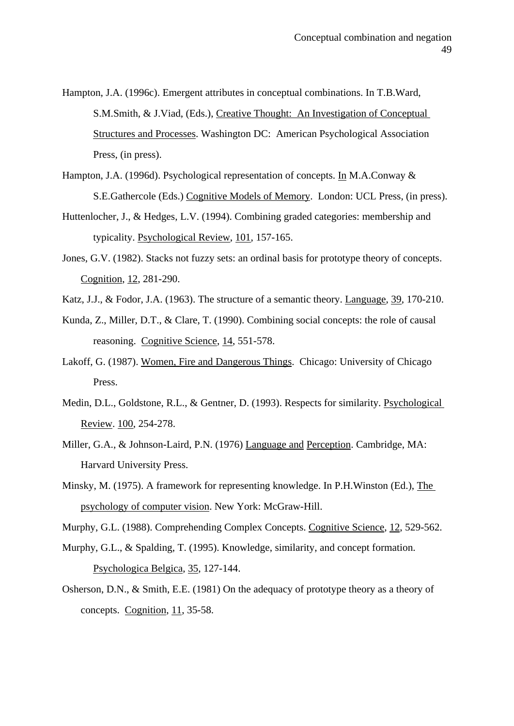- Hampton, J.A. (1996c). Emergent attributes in conceptual combinations. In T.B.Ward, S.M.Smith, & J.Viad, (Eds.), Creative Thought: An Investigation of Conceptual Structures and Processes. Washington DC: American Psychological Association Press, (in press).
- Hampton, J.A. (1996d). Psychological representation of concepts. In M.A.Conway & S.E.Gathercole (Eds.) Cognitive Models of Memory. London: UCL Press, (in press).
- Huttenlocher, J., & Hedges, L.V. (1994). Combining graded categories: membership and typicality. Psychological Review, 101, 157-165.
- Jones, G.V. (1982). Stacks not fuzzy sets: an ordinal basis for prototype theory of concepts. Cognition, 12, 281-290.
- Katz, J.J., & Fodor, J.A. (1963). The structure of a semantic theory. Language, 39, 170-210.
- Kunda, Z., Miller, D.T., & Clare, T. (1990). Combining social concepts: the role of causal reasoning. Cognitive Science, 14, 551-578.
- Lakoff, G. (1987). Women, Fire and Dangerous Things. Chicago: University of Chicago Press.
- Medin, D.L., Goldstone, R.L., & Gentner, D. (1993). Respects for similarity. Psychological Review. 100, 254-278.
- Miller, G.A., & Johnson-Laird, P.N. (1976) Language and Perception. Cambridge, MA: Harvard University Press.
- Minsky, M. (1975). A framework for representing knowledge. In P.H.Winston (Ed.), The psychology of computer vision. New York: McGraw-Hill.

Murphy, G.L. (1988). Comprehending Complex Concepts. Cognitive Science, 12, 529-562.

- Murphy, G.L., & Spalding, T. (1995). Knowledge, similarity, and concept formation. Psychologica Belgica, 35, 127-144.
- Osherson, D.N., & Smith, E.E. (1981) On the adequacy of prototype theory as a theory of concepts. Cognition, 11, 35-58.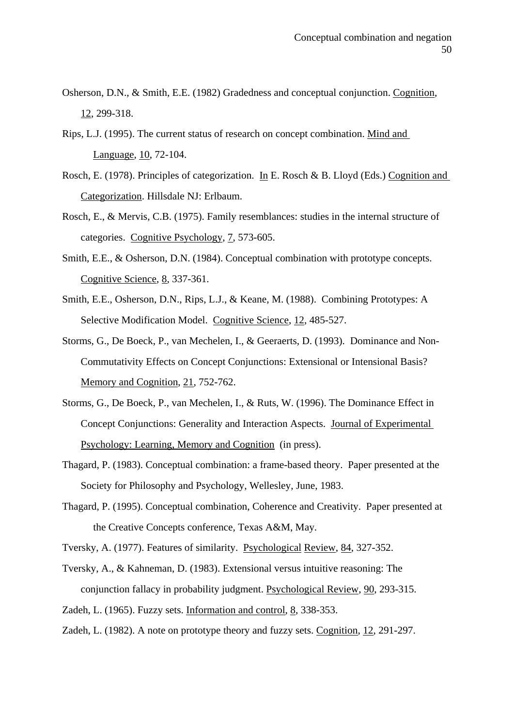- Osherson, D.N., & Smith, E.E. (1982) Gradedness and conceptual conjunction. Cognition, 12, 299-318.
- Rips, L.J. (1995). The current status of research on concept combination. Mind and Language, 10, 72-104.
- Rosch, E. (1978). Principles of categorization. In E. Rosch & B. Lloyd (Eds.) Cognition and Categorization. Hillsdale NJ: Erlbaum.
- Rosch, E., & Mervis, C.B. (1975). Family resemblances: studies in the internal structure of categories. Cognitive Psychology, 7, 573-605.
- Smith, E.E., & Osherson, D.N. (1984). Conceptual combination with prototype concepts. Cognitive Science, 8, 337-361.
- Smith, E.E., Osherson, D.N., Rips, L.J., & Keane, M. (1988). Combining Prototypes: A Selective Modification Model. Cognitive Science, 12, 485-527.
- Storms, G., De Boeck, P., van Mechelen, I., & Geeraerts, D. (1993). Dominance and Non-Commutativity Effects on Concept Conjunctions: Extensional or Intensional Basis? Memory and Cognition, 21, 752-762.
- Storms, G., De Boeck, P., van Mechelen, I., & Ruts, W. (1996). The Dominance Effect in Concept Conjunctions: Generality and Interaction Aspects. Journal of Experimental Psychology: Learning, Memory and Cognition (in press).
- Thagard, P. (1983). Conceptual combination: a frame-based theory. Paper presented at the Society for Philosophy and Psychology, Wellesley, June, 1983.
- Thagard, P. (1995). Conceptual combination, Coherence and Creativity. Paper presented at the Creative Concepts conference, Texas A&M, May.
- Tversky, A. (1977). Features of similarity. Psychological Review, 84, 327-352.
- Tversky, A., & Kahneman, D. (1983). Extensional versus intuitive reasoning: The conjunction fallacy in probability judgment. Psychological Review, 90, 293-315.
- Zadeh, L. (1965). Fuzzy sets. Information and control, 8, 338-353.
- Zadeh, L. (1982). A note on prototype theory and fuzzy sets. Cognition, 12, 291-297.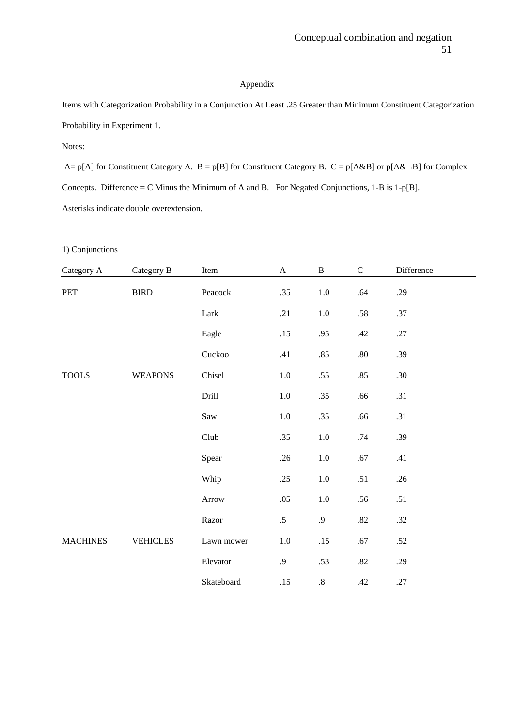#### Appendix

Items with Categorization Probability in a Conjunction At Least .25 Greater than Minimum Constituent Categorization Probability in Experiment 1.

Notes:

A= p[A] for Constituent Category A.  $B = p[B]$  for Constituent Category B.  $C = p[A&B]$  or  $p[A&-B]$  for Complex Concepts. Difference = C Minus the Minimum of A and B. For Negated Conjunctions, 1-B is 1-p[B]. Asterisks indicate double overextension.

#### 1) Conjunctions

| Category A      | Category B                                 | Item       | $\boldsymbol{\mathsf{A}}$ | $\, {\bf B}$ | $\mathbf C$ | Difference |
|-----------------|--------------------------------------------|------------|---------------------------|--------------|-------------|------------|
| PET             | ${\hbox{B}}{\hbox{I}}{\hbox{R}}{\hbox{D}}$ | Peacock    | .35                       | $1.0\,$      | .64         | .29        |
|                 |                                            | Lark       | .21                       | $1.0\,$      | $.58\,$     | .37        |
|                 |                                            | Eagle      | .15                       | .95          | .42         | .27        |
|                 |                                            | Cuckoo     | .41                       | .85          | $.80\,$     | .39        |
| <b>TOOLS</b>    | <b>WEAPONS</b>                             | Chisel     | $1.0\,$                   | .55          | .85         | .30        |
|                 |                                            | Drill      | $1.0\,$                   | .35          | .66         | .31        |
|                 |                                            | Saw        | $1.0\,$                   | .35          | .66         | .31        |
|                 |                                            | Club       | .35                       | $1.0\,$      | .74         | .39        |
|                 |                                            | Spear      | .26                       | $1.0\,$      | .67         | .41        |
|                 |                                            | Whip       | .25                       | $1.0\,$      | .51         | .26        |
|                 |                                            | Arrow      | .05                       | $1.0\,$      | .56         | .51        |
|                 |                                            | Razor      | $.5\,$                    | $\cdot$ .9   | $.82\,$     | .32        |
| <b>MACHINES</b> | <b>VEHICLES</b>                            | Lawn mower | $1.0\,$                   | .15          | $.67$       | .52        |
|                 |                                            | Elevator   | .9                        | .53          | .82         | .29        |
|                 |                                            | Skateboard | .15                       | $.8\,$       | .42         | .27        |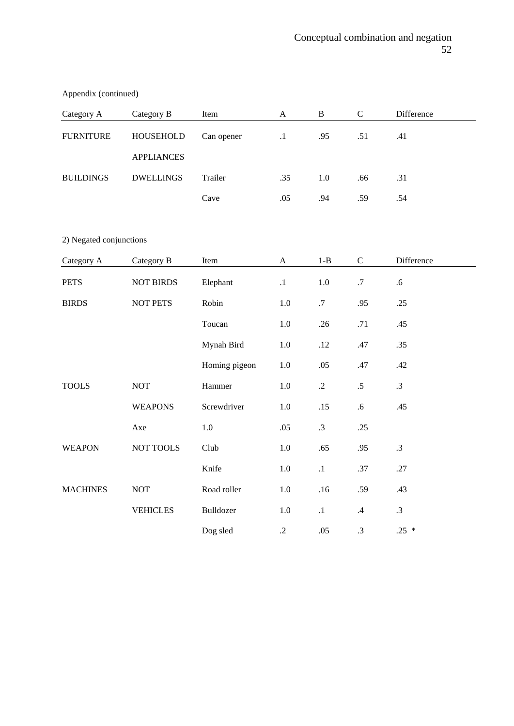| Category A       | Category B        | Item       | A         | B   | C   | Difference |
|------------------|-------------------|------------|-----------|-----|-----|------------|
| <b>FURNITURE</b> | HOUSEHOLD         | Can opener | $\cdot$ 1 | .95 | .51 | .41        |
|                  | <b>APPLIANCES</b> |            |           |     |     |            |
| <b>BUILDINGS</b> | <b>DWELLINGS</b>  | Trailer    | .35       | 1.0 | .66 | .31        |
|                  |                   | Cave       | .05       | .94 | .59 | .54        |

Appendix (continued)

2) Negated conjunctions

| Category A      | Category B       | Item          | $\boldsymbol{\mathsf{A}}$ | $1 - B$    | $\mathbf C$ | Difference |  |
|-----------------|------------------|---------------|---------------------------|------------|-------------|------------|--|
| <b>PETS</b>     | <b>NOT BIRDS</b> | Elephant      | $\cdot$ 1                 | 1.0        | .7          | .6         |  |
| <b>BIRDS</b>    | NOT PETS         | Robin         | 1.0                       | .7         | .95         | .25        |  |
|                 |                  | Toucan        | 1.0                       | .26        | .71         | .45        |  |
|                 |                  | Mynah Bird    | 1.0                       | .12        | .47         | .35        |  |
|                 |                  | Homing pigeon | $1.0\,$                   | .05        | .47         | .42        |  |
| <b>TOOLS</b>    | <b>NOT</b>       | Hammer        | $1.0\,$                   | $\cdot$ .2 | .5          | $\cdot$ 3  |  |
|                 | <b>WEAPONS</b>   | Screwdriver   | $1.0\,$                   | .15        | .6          | .45        |  |
|                 | Axe              | 1.0           | .05                       | $\cdot$ 3  | .25         |            |  |
| <b>WEAPON</b>   | NOT TOOLS        | Club          | $1.0\,$                   | .65        | .95         | $\cdot$ 3  |  |
|                 |                  | Knife         | 1.0                       | $\cdot$ 1  | .37         | .27        |  |
| <b>MACHINES</b> | <b>NOT</b>       | Road roller   | 1.0                       | .16        | .59         | .43        |  |
|                 | <b>VEHICLES</b>  | Bulldozer     | 1.0                       | $\cdot$ 1  | $.4\,$      | $\cdot$ 3  |  |
|                 |                  | Dog sled      | $\cdot$ .2                | .05        | .3          | $.25*$     |  |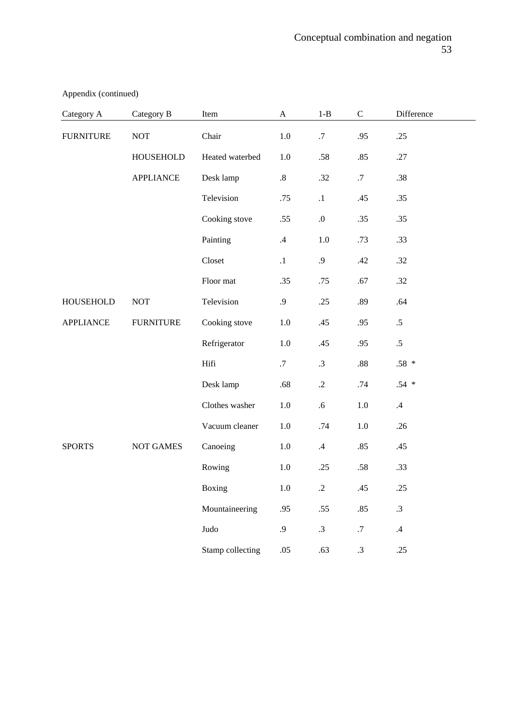| Category A       | Category B       | Item             | $\mathbf{A}$    | $1 - B$         | $\mathsf{C}$ | Difference |  |
|------------------|------------------|------------------|-----------------|-----------------|--------------|------------|--|
| <b>FURNITURE</b> | <b>NOT</b>       | Chair            | $1.0\,$         | .7              | .95          | .25        |  |
|                  | <b>HOUSEHOLD</b> | Heated waterbed  | $1.0\,$         | .58             | .85          | .27        |  |
|                  | <b>APPLIANCE</b> | Desk lamp        | $.8\,$          | .32             | $.7\,$       | .38        |  |
|                  |                  | Television       | .75             | $\cdot^1$       | .45          | .35        |  |
|                  |                  | Cooking stove    | .55             | $0. \,$         | .35          | .35        |  |
|                  |                  | Painting         | $.4\phantom{0}$ | $1.0\,$         | .73          | .33        |  |
|                  |                  | Closet           | $\cdot$ 1       | .9              | .42          | .32        |  |
|                  |                  | Floor mat        | .35             | .75             | .67          | .32        |  |
| <b>HOUSEHOLD</b> | <b>NOT</b>       | Television       | .9              | .25             | .89          | .64        |  |
| <b>APPLIANCE</b> | <b>FURNITURE</b> | Cooking stove    | $1.0\,$         | .45             | .95          | $.5\,$     |  |
|                  |                  | Refrigerator     | $1.0\,$         | .45             | .95          | $.5\,$     |  |
|                  |                  | Hifi             | .7              | $\cdot$ 3       | $.88\,$      | $.58*$     |  |
|                  |                  | Desk lamp        | .68             | $\cdot$ .2      | .74          | $.54$ *    |  |
|                  |                  | Clothes washer   | $1.0\,$         | $.6\,$          | 1.0          | $.4\,$     |  |
|                  |                  | Vacuum cleaner   | $1.0\,$         | .74             | $1.0\,$      | .26        |  |
| <b>SPORTS</b>    | <b>NOT GAMES</b> | Canoeing         | $1.0\,$         | $.4\phantom{0}$ | .85          | .45        |  |
|                  |                  | Rowing           | $1.0\,$         | .25             | .58          | .33        |  |
|                  |                  | Boxing           | $1.0\,$         | $\cdot$ .2      | .45          | .25        |  |
|                  |                  | Mountaineering   | .95             | .55             | .85          | $\cdot$ 3  |  |
|                  |                  | Judo             | .9              | .3              | $.7\,$       | $.4\,$     |  |
|                  |                  | Stamp collecting | .05             | .63             | $\cdot$ 3    | .25        |  |

Appendix (continued)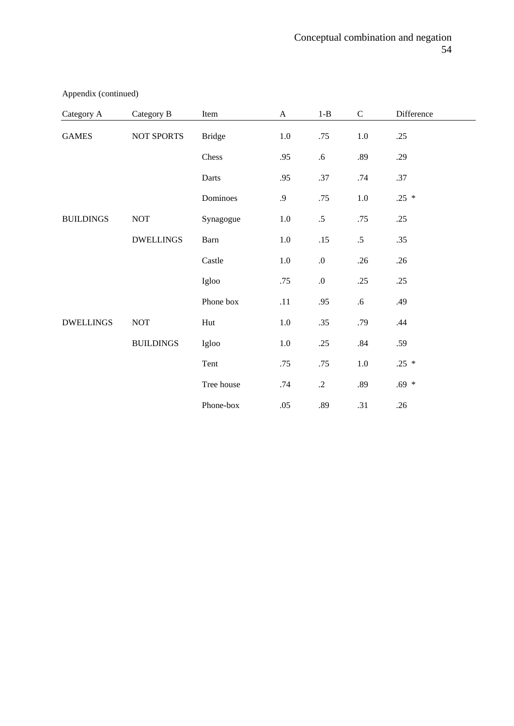| Category A       | Category B           | Item          | $\boldsymbol{\mathsf{A}}$ | $1 - B$          | $\mathbf C$ | Difference |  |
|------------------|----------------------|---------------|---------------------------|------------------|-------------|------------|--|
| <b>GAMES</b>     | NOT SPORTS           | <b>Bridge</b> | $1.0\,$                   | .75              | $1.0\,$     | .25        |  |
|                  |                      | Chess         | .95                       | .6               | .89         | .29        |  |
|                  |                      | Darts         | .95                       | .37              | .74         | .37        |  |
|                  |                      | Dominoes      | $\cdot$ .9                | .75              | $1.0\,$     | $.25 *$    |  |
| <b>BUILDINGS</b> | $\operatorname{NOT}$ | Synagogue     | $1.0\,$                   | $.5\,$           | .75         | .25        |  |
|                  | <b>DWELLINGS</b>     | Barn          | $1.0\,$                   | .15              | $.5\,$      | .35        |  |
|                  |                      | Castle        | $1.0\,$                   | $\boldsymbol{0}$ | .26         | .26        |  |
|                  |                      | Igloo         | .75                       | $\boldsymbol{0}$ | .25         | .25        |  |
|                  |                      | Phone box     | .11                       | .95              | .6          | .49        |  |
| <b>DWELLINGS</b> | $\operatorname{NOT}$ | Hut           | $1.0\,$                   | .35              | .79         | .44        |  |
|                  | <b>BUILDINGS</b>     | Igloo         | 1.0                       | .25              | .84         | .59        |  |
|                  |                      | Tent          | .75                       | .75              | 1.0         | $.25 *$    |  |
|                  |                      | Tree house    | .74                       | $\cdot$ .2       | .89         | $.69*$     |  |
|                  |                      | Phone-box     | .05                       | .89              | .31         | .26        |  |

Appendix (continued)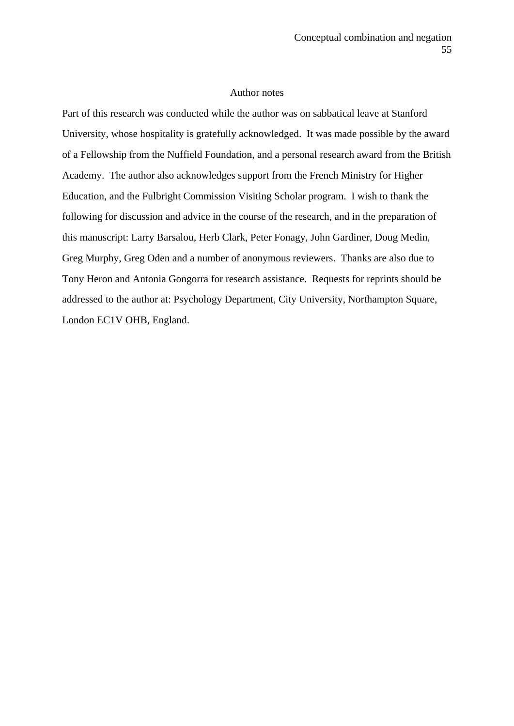#### Author notes

Part of this research was conducted while the author was on sabbatical leave at Stanford University, whose hospitality is gratefully acknowledged. It was made possible by the award of a Fellowship from the Nuffield Foundation, and a personal research award from the British Academy. The author also acknowledges support from the French Ministry for Higher Education, and the Fulbright Commission Visiting Scholar program. I wish to thank the following for discussion and advice in the course of the research, and in the preparation of this manuscript: Larry Barsalou, Herb Clark, Peter Fonagy, John Gardiner, Doug Medin, Greg Murphy, Greg Oden and a number of anonymous reviewers. Thanks are also due to Tony Heron and Antonia Gongorra for research assistance. Requests for reprints should be addressed to the author at: Psychology Department, City University, Northampton Square, London EC1V OHB, England.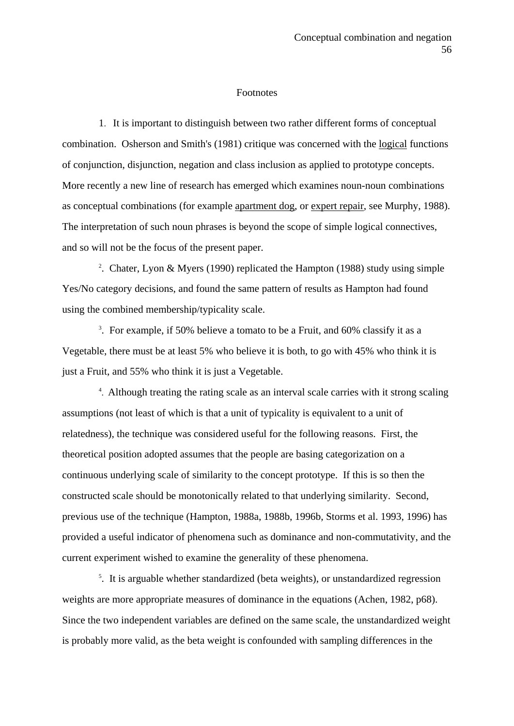#### **Footnotes**

1. It is important to distinguish between two rather different forms of conceptual combination. Osherson and Smith's (1981) critique was concerned with the logical functions of conjunction, disjunction, negation and class inclusion as applied to prototype concepts. More recently a new line of research has emerged which examines noun-noun combinations as conceptual combinations (for example apartment dog, or expert repair, see Murphy, 1988). The interpretation of such noun phrases is beyond the scope of simple logical connectives, and so will not be the focus of the present paper.

<sup>2</sup>. Chater, Lyon & Myers (1990) replicated the Hampton (1988) study using simple Yes/No category decisions, and found the same pattern of results as Hampton had found using the combined membership/typicality scale.

<sup>3</sup>. For example, if 50% believe a tomato to be a Fruit, and 60% classify it as a Vegetable, there must be at least 5% who believe it is both, to go with 45% who think it is just a Fruit, and 55% who think it is just a Vegetable.

4 . Although treating the rating scale as an interval scale carries with it strong scaling assumptions (not least of which is that a unit of typicality is equivalent to a unit of relatedness), the technique was considered useful for the following reasons. First, the theoretical position adopted assumes that the people are basing categorization on a continuous underlying scale of similarity to the concept prototype. If this is so then the constructed scale should be monotonically related to that underlying similarity. Second, previous use of the technique (Hampton, 1988a, 1988b, 1996b, Storms et al. 1993, 1996) has provided a useful indicator of phenomena such as dominance and non-commutativity, and the current experiment wished to examine the generality of these phenomena.

<sup>5</sup>. It is arguable whether standardized (beta weights), or unstandardized regression weights are more appropriate measures of dominance in the equations (Achen, 1982, p68). Since the two independent variables are defined on the same scale, the unstandardized weight is probably more valid, as the beta weight is confounded with sampling differences in the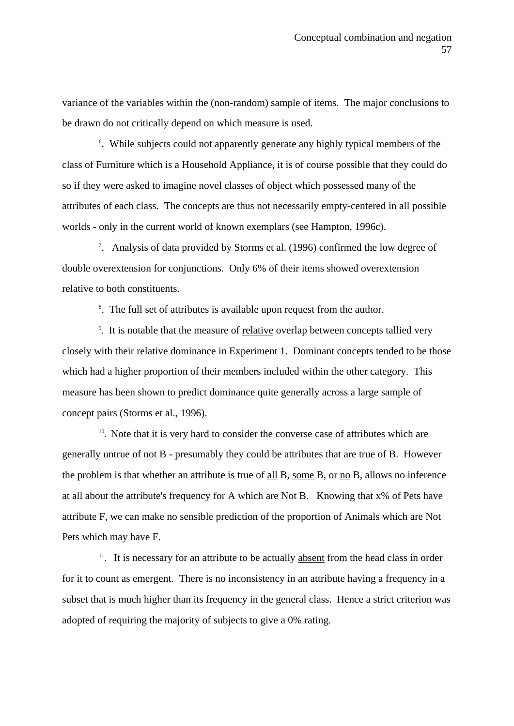variance of the variables within the (non-random) sample of items. The major conclusions to be drawn do not critically depend on which measure is used.

<sup>6</sup>. While subjects could not apparently generate any highly typical members of the class of Furniture which is a Household Appliance, it is of course possible that they could do so if they were asked to imagine novel classes of object which possessed many of the attributes of each class. The concepts are thus not necessarily empty-centered in all possible worlds - only in the current world of known exemplars (see Hampton, 1996c).

7 . Analysis of data provided by Storms et al. (1996) confirmed the low degree of double overextension for conjunctions. Only 6% of their items showed overextension relative to both constituents.

<sup>8</sup>. The full set of attributes is available upon request from the author.

<sup>9</sup>. It is notable that the measure of relative overlap between concepts tallied very closely with their relative dominance in Experiment 1. Dominant concepts tended to be those which had a higher proportion of their members included within the other category. This measure has been shown to predict dominance quite generally across a large sample of concept pairs (Storms et al., 1996).

 $10$ . Note that it is very hard to consider the converse case of attributes which are generally untrue of not B - presumably they could be attributes that are true of B. However the problem is that whether an attribute is true of all B, some B, or no B, allows no inference at all about the attribute's frequency for A which are Not B. Knowing that x% of Pets have attribute F, we can make no sensible prediction of the proportion of Animals which are Not Pets which may have F.

 $11$ . It is necessary for an attribute to be actually absent from the head class in order for it to count as emergent. There is no inconsistency in an attribute having a frequency in a subset that is much higher than its frequency in the general class. Hence a strict criterion was adopted of requiring the majority of subjects to give a 0% rating.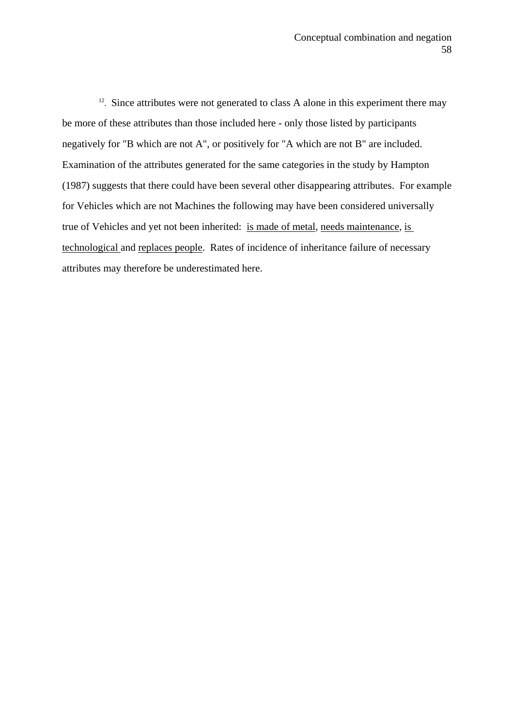$12$ . Since attributes were not generated to class A alone in this experiment there may be more of these attributes than those included here - only those listed by participants negatively for "B which are not A", or positively for "A which are not B" are included. Examination of the attributes generated for the same categories in the study by Hampton (1987) suggests that there could have been several other disappearing attributes. For example for Vehicles which are not Machines the following may have been considered universally true of Vehicles and yet not been inherited: is made of metal, needs maintenance, is technological and replaces people. Rates of incidence of inheritance failure of necessary attributes may therefore be underestimated here.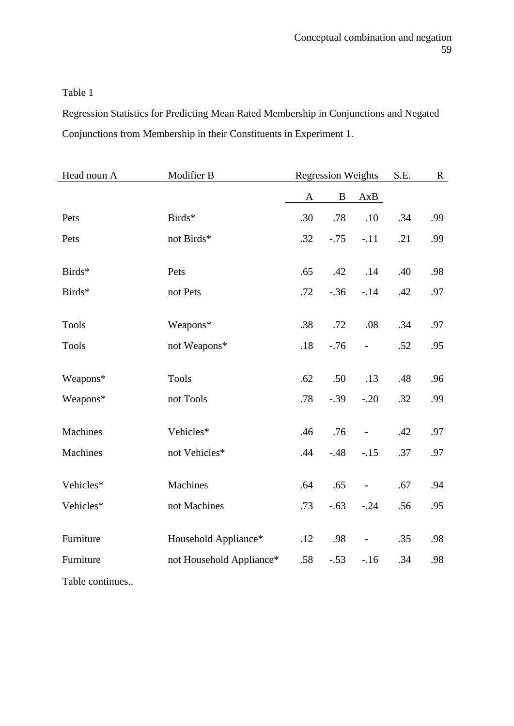Regression Statistics for Predicting Mean Rated Membership in Conjunctions and Negated Conjunctions from Membership in their Constituents in Experiment 1.

| Head noun A     | Modifier B               |     | <b>Regression Weights</b> |                          | S.E. | $\mathbf{R}$ |
|-----------------|--------------------------|-----|---------------------------|--------------------------|------|--------------|
|                 |                          | A   | $\, {\bf B}$              | AxB                      |      |              |
| Pets            | Birds*                   | .30 | .78                       | .10                      | .34  | .99          |
| Pets            | not Birds*               | .32 | $-.75$                    | $-.11$                   | .21  | .99          |
| Birds*          | Pets                     | .65 | .42                       | .14                      | .40  | .98          |
| Birds*          | not Pets                 | .72 | $-.36$                    | $-14$                    | .42  | .97          |
| <b>Tools</b>    | Weapons*                 | .38 | .72                       | .08                      | .34  | .97          |
| <b>Tools</b>    | not Weapons*             | .18 | $-.76$                    | $\overline{\phantom{0}}$ | .52  | .95          |
| Weapons*        | <b>Tools</b>             | .62 | .50                       | .13                      | .48  | .96          |
| Weapons*        | not Tools                | .78 | $-.39$                    | $-.20$                   | .32  | .99          |
|                 |                          |     |                           |                          |      |              |
| <b>Machines</b> | Vehicles*                | .46 | .76                       | $\overline{\phantom{0}}$ | .42  | .97          |
| <b>Machines</b> | not Vehicles*            | .44 | $-48$                     | $-.15$                   | .37  | .97          |
| Vehicles*       | Machines                 | .64 | .65                       | $\qquad \qquad -$        | .67  | .94          |
| Vehicles*       | not Machines             | .73 | $-.63$                    | $-.24$                   | .56  | .95          |
| Furniture       | Household Appliance*     | .12 | .98                       | $\qquad \qquad -$        | .35  | .98          |
| Furniture       | not Household Appliance* | .58 | $-.53$                    | $-.16$                   | .34  | .98          |
| Table continues |                          |     |                           |                          |      |              |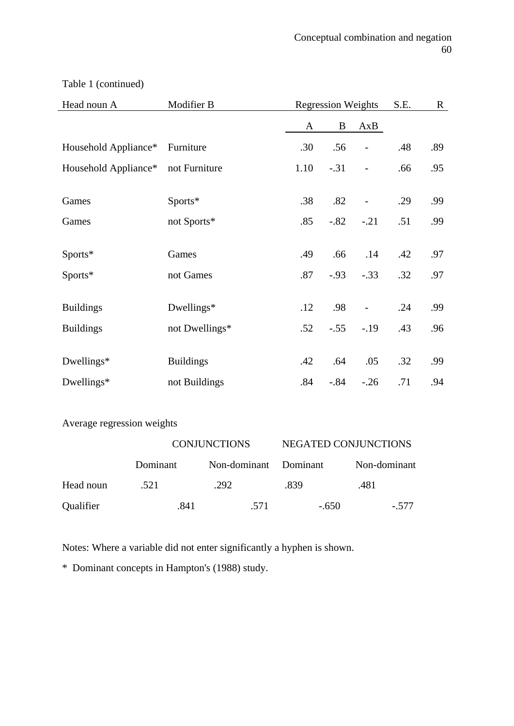| Head noun A                        | Modifier B       | <b>Regression Weights</b> |         |                          | S.E. | $\mathbf R$ |
|------------------------------------|------------------|---------------------------|---------|--------------------------|------|-------------|
|                                    |                  | A                         | B       | AxB                      |      |             |
| Household Appliance*               | Furniture        | .30                       | .56     | $\overline{\phantom{a}}$ | .48  | .89         |
| Household Appliance* not Furniture |                  | 1.10                      | $-.31$  | $\overline{a}$           | .66  | .95         |
|                                    |                  |                           |         |                          |      |             |
| Games                              | Sports*          | .38                       | .82     |                          | .29  | .99         |
| Games                              | not Sports*      | .85                       | $-.82$  | $-.21$                   | .51  | .99         |
|                                    |                  |                           |         |                          |      |             |
| Sports*                            | Games            | .49                       | .66     | .14                      | .42  | .97         |
| Sports*                            | not Games        | .87                       | $-0.93$ | $-.33$                   | .32  | .97         |
|                                    |                  |                           |         |                          |      |             |
| <b>Buildings</b>                   | Dwellings*       | .12                       | .98     | $\overline{\phantom{0}}$ | .24  | .99         |
| <b>Buildings</b>                   | not Dwellings*   | .52                       | $-.55$  | $-.19$                   | .43  | .96         |
|                                    |                  |                           |         |                          |      |             |
| Dwellings*                         | <b>Buildings</b> | .42                       | .64     | .05                      | .32  | .99         |
| Dwellings*                         | not Buildings    | .84                       | $-.84$  | $-.26$                   | .71  | .94         |

Table 1 (continued)

Average regression weights

|           | <b>CONJUNCTIONS</b> |                       | NEGATED CONJUNCTIONS |              |  |  |
|-----------|---------------------|-----------------------|----------------------|--------------|--|--|
|           | Dominant            | Non-dominant Dominant |                      | Non-dominant |  |  |
| Head noun | .521                | .292                  | .839                 | .481         |  |  |
| Qualifier | .841                | .571                  | $-.650$              | $-.577$      |  |  |

Notes: Where a variable did not enter significantly a hyphen is shown.

\* Dominant concepts in Hampton's (1988) study.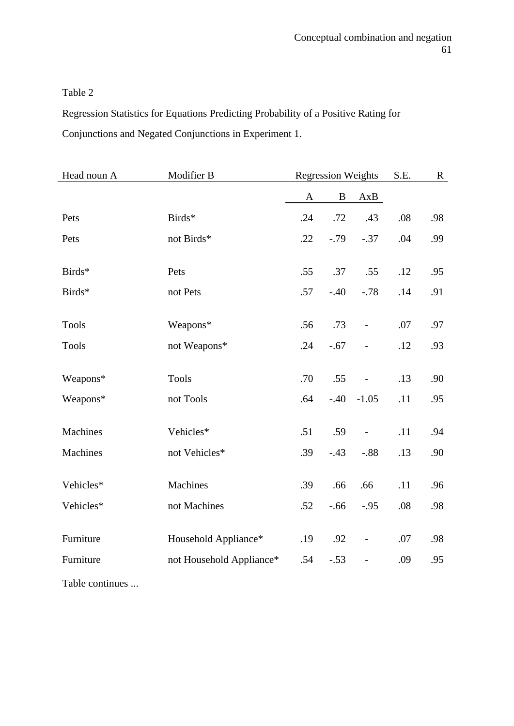Regression Statistics for Equations Predicting Probability of a Positive Rating for Conjunctions and Negated Conjunctions in Experiment 1.

| Head noun A     | Modifier B               |              | <b>Regression Weights</b> |                          | S.E. | $\mathbf{R}$ |
|-----------------|--------------------------|--------------|---------------------------|--------------------------|------|--------------|
|                 |                          | $\mathbf{A}$ | $\, {\bf B}$              | AxB                      |      |              |
| Pets            | Birds*                   | .24          | .72                       | .43                      | .08  | .98          |
| Pets            | not Birds*               | .22          | $-0.79$                   | $-.37$                   | .04  | .99          |
| Birds*          | Pets                     | .55          | .37                       | .55                      | .12  | .95          |
| Birds*          | not Pets                 | .57          | $-.40$                    | $-.78$                   | .14  | .91          |
|                 |                          |              |                           |                          |      |              |
| <b>Tools</b>    | Weapons*                 | .56          | .73                       | $\frac{1}{2}$            | .07  | .97          |
| <b>Tools</b>    | not Weapons*             | .24          | $-.67$                    | $\overline{\phantom{0}}$ | .12  | .93          |
| Weapons*        | <b>Tools</b>             | .70          | .55                       | $\overline{\phantom{0}}$ | .13  | .90          |
| Weapons*        | not Tools                | .64          | $-.40$                    | $-1.05$                  | .11  | .95          |
|                 |                          |              |                           |                          |      |              |
| Machines        | Vehicles*                | .51          | .59                       | $\overline{\phantom{0}}$ | .11  | .94          |
| Machines        | not Vehicles*            | .39          | $-.43$                    | $-.88$                   | .13  | .90          |
| Vehicles*       | Machines                 | .39          | .66                       | .66                      | .11  | .96          |
|                 |                          |              |                           |                          |      |              |
| Vehicles*       | not Machines             | .52          | $-.66$                    | $-.95$                   | .08  | .98          |
| Furniture       | Household Appliance*     | .19          | .92                       | $\overline{\phantom{0}}$ | .07  | .98          |
| Furniture       | not Household Appliance* | .54          | $-.53$                    | $\overline{\phantom{m}}$ | .09  | .95          |
| Table continues |                          |              |                           |                          |      |              |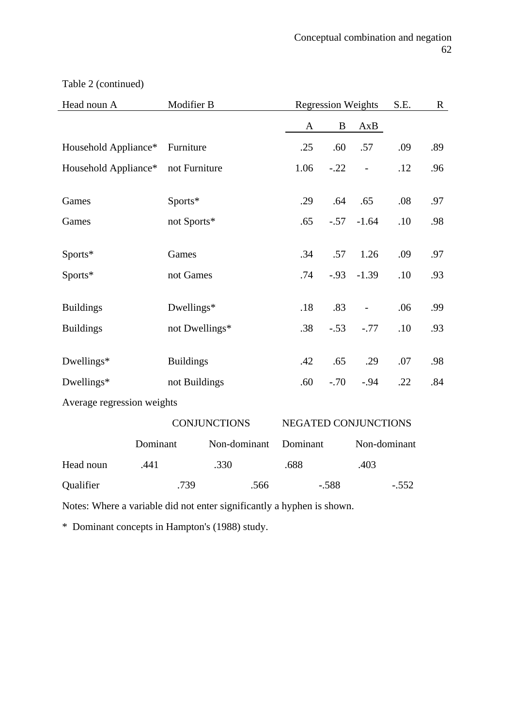| Head noun A                | Modifier B          |                      | <b>Regression Weights</b> |                | S.E.    | $\mathbf R$ |
|----------------------------|---------------------|----------------------|---------------------------|----------------|---------|-------------|
|                            |                     | A                    | $\bf{B}$                  | AxB            |         |             |
| Household Appliance*       | Furniture           | .25                  | .60                       | .57            | .09     | .89         |
| Household Appliance*       | not Furniture       | 1.06                 | $-.22$                    | $\frac{1}{2}$  | .12     | .96         |
| Games                      | Sports*             | .29                  | .64                       | .65            | .08     | .97         |
|                            |                     |                      |                           |                |         |             |
| Games                      | not Sports*         | .65                  | $-.57$                    | $-1.64$        | .10     | .98         |
| Sports*                    | Games               | .34                  | .57                       | 1.26           | .09     | .97         |
| Sports*                    | not Games           | .74                  | $-.93$                    | $-1.39$        | .10     | .93         |
|                            |                     |                      |                           |                |         |             |
| <b>Buildings</b>           | Dwellings*          | .18                  | .83                       | $\blacksquare$ | .06     | .99         |
| <b>Buildings</b>           | not Dwellings*      | .38                  | $-.53$                    | $-.77$         | .10     | .93         |
|                            |                     |                      |                           |                |         |             |
| Dwellings*                 | <b>Buildings</b>    | .42                  | .65                       | .29            | .07     | .98         |
| Dwellings*                 | not Buildings       | .60                  | $-.70$                    | $-.94$         | .22     | .84         |
| Average regression weights |                     |                      |                           |                |         |             |
|                            | <b>CONJUNCTIONS</b> | NEGATED CONJUNCTIONS |                           |                |         |             |
| Dominant                   | Non-dominant        | Dominant             |                           | Non-dominant   |         |             |
| Head noun<br>.441          | .330                | .688                 |                           | .403           |         |             |
| Qualifier                  | .739<br>.566        |                      | $-.588$                   |                | $-.552$ |             |

Table 2 (continued)

Notes: Where a variable did not enter significantly a hyphen is shown.

\* Dominant concepts in Hampton's (1988) study.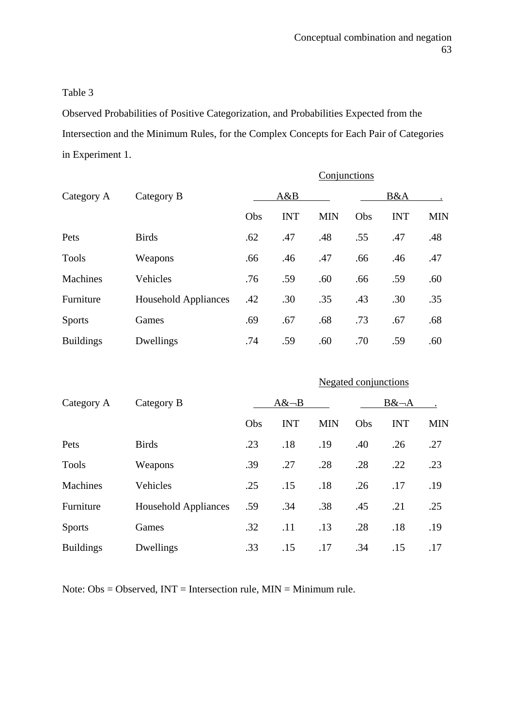Observed Probabilities of Positive Categorization, and Probabilities Expected from the Intersection and the Minimum Rules, for the Complex Concepts for Each Pair of Categories in Experiment 1.

|                  |                      | Conjunctions |            |            |     |            |            |  |  |
|------------------|----------------------|--------------|------------|------------|-----|------------|------------|--|--|
| Category A       | Category B           | A&B          |            |            |     | B&A        |            |  |  |
|                  |                      | Obs          | <b>INT</b> | <b>MIN</b> | Obs | <b>INT</b> | <b>MIN</b> |  |  |
| Pets             | <b>Birds</b>         | .62          | .47        | .48        | .55 | .47        | .48        |  |  |
| <b>Tools</b>     | Weapons              | .66          | .46        | .47        | .66 | .46        | .47        |  |  |
| Machines         | Vehicles             | .76          | .59        | .60        | .66 | .59        | .60        |  |  |
| Furniture        | Household Appliances | .42          | .30        | .35        | .43 | .30        | .35        |  |  |
| <b>Sports</b>    | Games                | .69          | .67        | .68        | .73 | .67        | .68        |  |  |
| <b>Buildings</b> | Dwellings            | .74          | .59        | .60        | .70 | .59        | .60        |  |  |

|                  |                             | <b>Negated conjunctions</b> |            |            |     |            |            |  |  |
|------------------|-----------------------------|-----------------------------|------------|------------|-----|------------|------------|--|--|
| Category A       | Category B                  | $A&~\neg B$                 |            |            |     | $B&\neg A$ |            |  |  |
|                  |                             | Obs                         | <b>INT</b> | <b>MIN</b> | Obs | <b>INT</b> | <b>MIN</b> |  |  |
| Pets             | <b>Birds</b>                | .23                         | .18        | .19        | .40 | .26        | .27        |  |  |
| <b>Tools</b>     | Weapons                     | .39                         | .27        | .28        | .28 | .22        | .23        |  |  |
| Machines         | Vehicles                    | .25                         | .15        | .18        | .26 | .17        | .19        |  |  |
| Furniture        | <b>Household Appliances</b> | .59                         | .34        | .38        | .45 | .21        | .25        |  |  |
| <b>Sports</b>    | Games                       | .32                         | .11        | .13        | .28 | .18        | .19        |  |  |
| <b>Buildings</b> | Dwellings                   | .33                         | .15        | .17        | .34 | .15        | .17        |  |  |

Note: Obs = Observed, INT = Intersection rule, MIN = Minimum rule.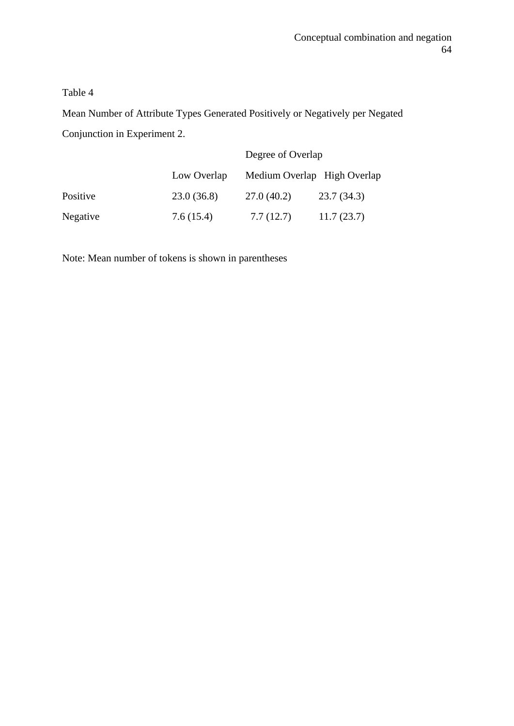Mean Number of Attribute Types Generated Positively or Negatively per Negated Conjunction in Experiment 2.

|          |             | Degree of Overlap           |            |  |  |
|----------|-------------|-----------------------------|------------|--|--|
|          | Low Overlap | Medium Overlap High Overlap |            |  |  |
| Positive | 23.0(36.8)  | 27.0(40.2)                  | 23.7(34.3) |  |  |
| Negative | 7.6(15.4)   | 7.7(12.7)                   | 11.7(23.7) |  |  |

Note: Mean number of tokens is shown in parentheses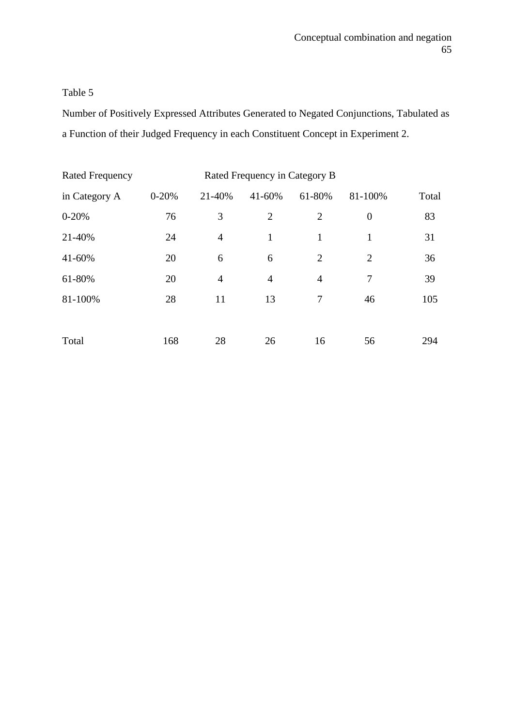Number of Positively Expressed Attributes Generated to Negated Conjunctions, Tabulated as a Function of their Judged Frequency in each Constituent Concept in Experiment 2.

| <b>Rated Frequency</b> |           | Rated Frequency in Category B |                |                |                  |       |
|------------------------|-----------|-------------------------------|----------------|----------------|------------------|-------|
| in Category A          | $0 - 20%$ | 21-40%                        | 41-60%         | 61-80%         | 81-100%          | Total |
| $0 - 20%$              | 76        | 3                             | $\overline{2}$ | $\overline{2}$ | $\boldsymbol{0}$ | 83    |
| 21-40%                 | 24        | $\overline{4}$                | $\mathbf{1}$   | 1              | 1                | 31    |
| 41-60%                 | 20        | 6                             | 6              | 2              | $\overline{2}$   | 36    |
| 61-80%                 | 20        | $\overline{4}$                | $\overline{4}$ | $\overline{4}$ | 7                | 39    |
| 81-100%                | 28        | 11                            | 13             | 7              | 46               | 105   |
|                        |           |                               |                |                |                  |       |
| Total                  | 168       | 28                            | 26             | 16             | 56               | 294   |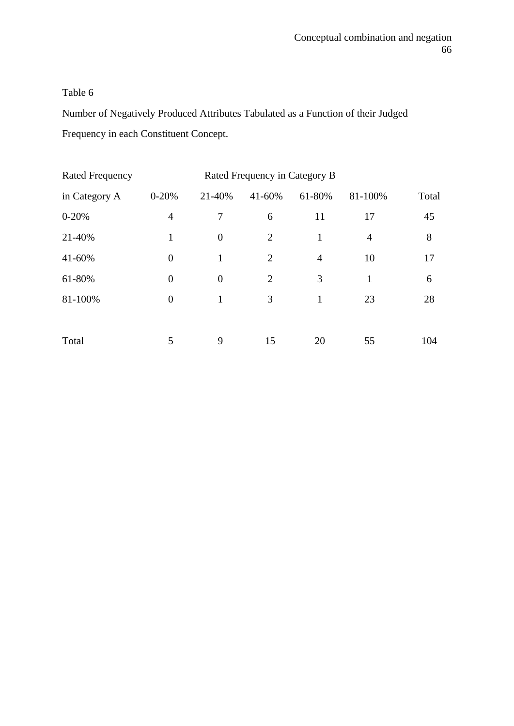Number of Negatively Produced Attributes Tabulated as a Function of their Judged Frequency in each Constituent Concept.

| <b>Rated Frequency</b> |                | Rated Frequency in Category B |        |                |                |       |
|------------------------|----------------|-------------------------------|--------|----------------|----------------|-------|
| in Category A          | $0 - 20%$      | 21-40%                        | 41-60% | 61-80%         | 81-100%        | Total |
| $0 - 20%$              | $\overline{4}$ | 7                             | 6      | 11             | 17             | 45    |
| 21-40%                 | 1              | $\overline{0}$                | 2      | 1              | $\overline{4}$ | 8     |
| 41-60%                 | $\overline{0}$ | 1                             | 2      | $\overline{4}$ | 10             | 17    |
| 61-80%                 | $\overline{0}$ | $\overline{0}$                | 2      | 3              | 1              | 6     |
| 81-100%                | $\overline{0}$ | 1                             | 3      | 1              | 23             | 28    |
|                        |                |                               |        |                |                |       |
| Total                  | 5              | 9                             | 15     | 20             | 55             | 104   |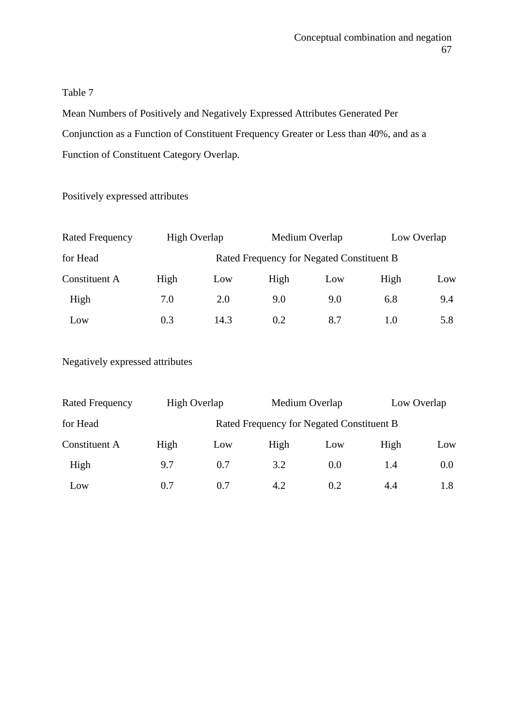Mean Numbers of Positively and Negatively Expressed Attributes Generated Per Conjunction as a Function of Constituent Frequency Greater or Less than 40%, and as a Function of Constituent Category Overlap.

Positively expressed attributes

| <b>Rated Frequency</b> | High Overlap |      |                                           | Medium Overlap | Low Overlap |     |
|------------------------|--------------|------|-------------------------------------------|----------------|-------------|-----|
| for Head               |              |      | Rated Frequency for Negated Constituent B |                |             |     |
| <b>Constituent A</b>   | High         | Low  | High                                      | Low            | High        | Low |
| High                   | 7.0          | 2.0  | 9.0                                       | 9.0            | 6.8         | 9.4 |
| Low                    | 0.3          | 14.3 | 0.2                                       | 8.7            | 1.0         | 5.8 |

Negatively expressed attributes

| <b>Rated Frequency</b> | High Overlap |     |                                           | Medium Overlap | Low Overlap |     |
|------------------------|--------------|-----|-------------------------------------------|----------------|-------------|-----|
| for Head               |              |     | Rated Frequency for Negated Constituent B |                |             |     |
| <b>Constituent A</b>   | High         | Low | High                                      | Low            | High        | Low |
| High                   | 9.7          | 0.7 | 3.2                                       | 0.0            | 1.4         | 0.0 |
| Low                    | 0.7          | 0.7 | 4.2                                       | 0.2            | 4.4         | 1.8 |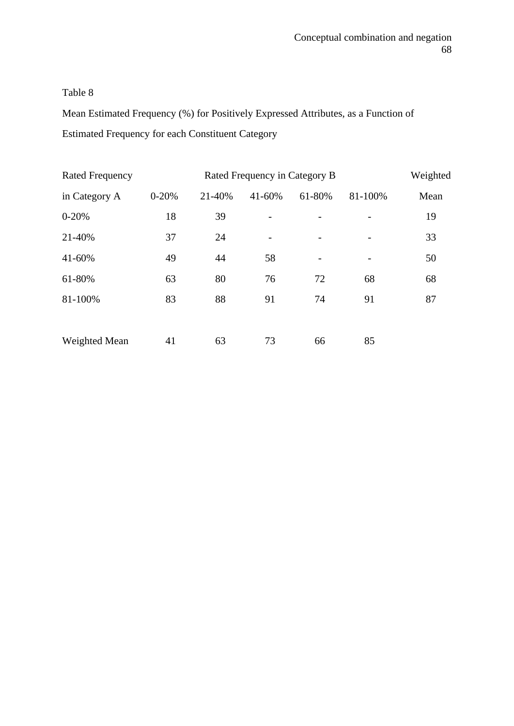Mean Estimated Frequency (%) for Positively Expressed Attributes, as a Function of Estimated Frequency for each Constituent Category

| <b>Rated Frequency</b> |           |        | Rated Frequency in Category B |                 |         | Weighted |
|------------------------|-----------|--------|-------------------------------|-----------------|---------|----------|
| in Category A          | $0 - 20%$ | 21-40% | 41-60%                        | 61-80%          | 81-100% | Mean     |
| $0 - 20%$              | 18        | 39     |                               |                 |         | 19       |
| 21-40%                 | 37        | 24     |                               |                 |         | 33       |
| 41-60%                 | 49        | 44     | 58                            | $\qquad \qquad$ |         | 50       |
| 61-80%                 | 63        | 80     | 76                            | 72              | 68      | 68       |
| 81-100%                | 83        | 88     | 91                            | 74              | 91      | 87       |
|                        |           |        |                               |                 |         |          |
| Weighted Mean          | 41        | 63     | 73                            | 66              | 85      |          |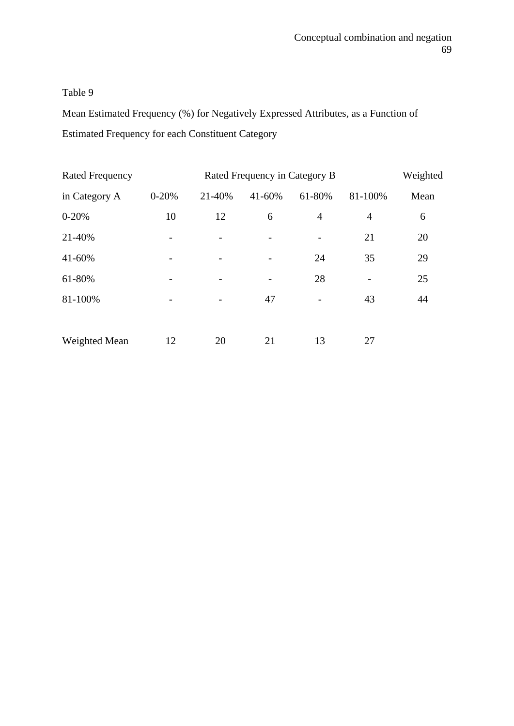Mean Estimated Frequency (%) for Negatively Expressed Attributes, as a Function of Estimated Frequency for each Constituent Category

| <b>Rated Frequency</b> |           |        | Rated Frequency in Category B |                          |         | Weighted |
|------------------------|-----------|--------|-------------------------------|--------------------------|---------|----------|
| in Category A          | $0 - 20%$ | 21-40% | 41-60%                        | 61-80%                   | 81-100% | Mean     |
| $0 - 20%$              | 10        | 12     | 6                             | $\overline{4}$           | 4       | 6        |
| 21-40%                 |           |        |                               | $\overline{\phantom{a}}$ | 21      | 20       |
| 41-60%                 |           |        |                               | 24                       | 35      | 29       |
| 61-80%                 |           |        |                               | 28                       |         | 25       |
| 81-100%                |           |        | 47                            | -                        | 43      | 44       |
|                        |           |        |                               |                          |         |          |
| Weighted Mean          | 12        | 20     | 21                            | 13                       | 27      |          |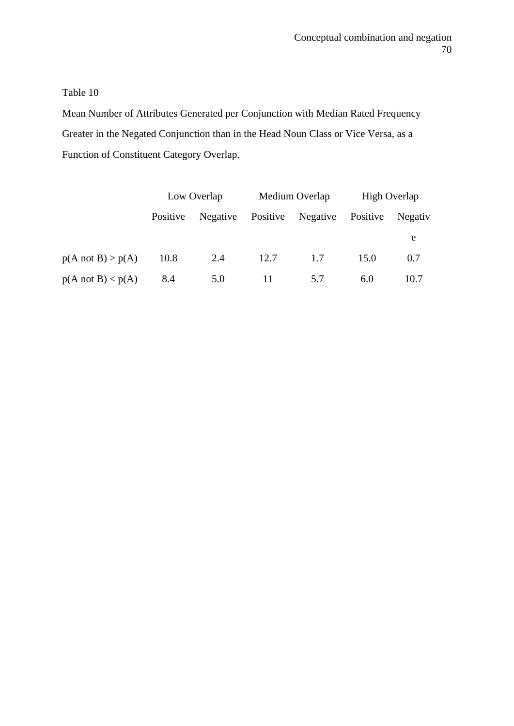Mean Number of Attributes Generated per Conjunction with Median Rated Frequency Greater in the Negated Conjunction than in the Head Noun Class or Vice Versa, as a Function of Constituent Category Overlap.

|                              | Low Overlap |          |          | Medium Overlap | High Overlap |         |
|------------------------------|-------------|----------|----------|----------------|--------------|---------|
|                              | Positive    | Negative | Positive | Negative       | Positive     | Negativ |
|                              |             |          |          |                |              | e       |
| $p(A \text{ not } B) > p(A)$ | 10.8        | 2.4      | 12.7     | 1.7            | 15.0         | 0.7     |
| $p(A \text{ not } B) < p(A)$ | 8.4         | 5.0      | 11       | 5.7            | 6.0          | 10.7    |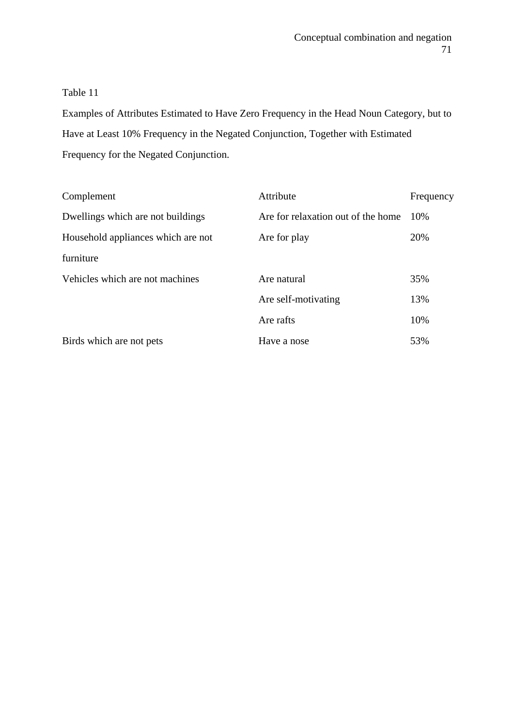Examples of Attributes Estimated to Have Zero Frequency in the Head Noun Category, but to Have at Least 10% Frequency in the Negated Conjunction, Together with Estimated Frequency for the Negated Conjunction.

| Complement                         | Attribute                          | Frequency |
|------------------------------------|------------------------------------|-----------|
| Dwellings which are not buildings  | Are for relaxation out of the home | 10%       |
| Household appliances which are not | Are for play                       | 20%       |
| furniture                          |                                    |           |
| Vehicles which are not machines    | Are natural                        | 35%       |
|                                    | Are self-motivating                | 13%       |
|                                    | Are rafts                          | 10%       |
| Birds which are not pets           | Have a nose                        | 53%       |